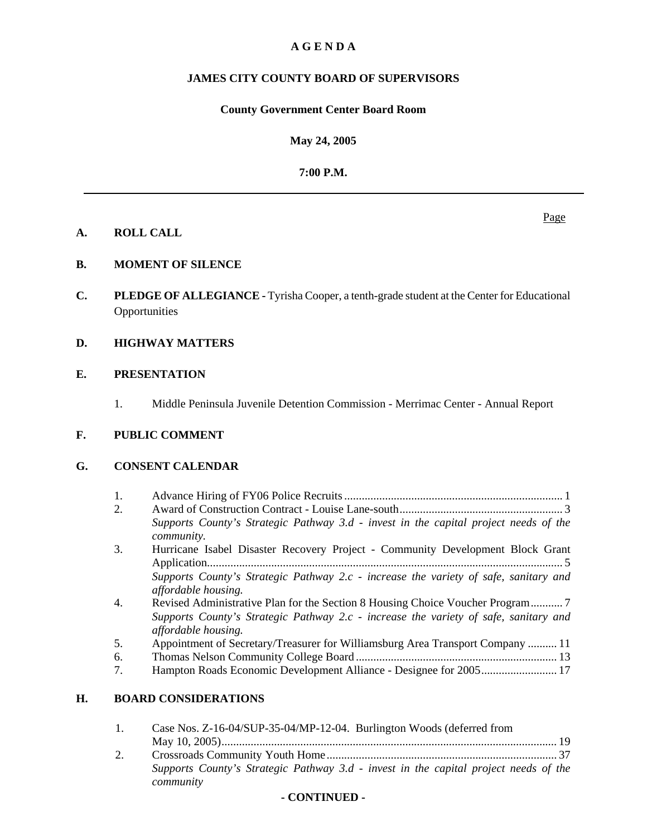# **A G E N D A**

# **JAMES CITY COUNTY BOARD OF SUPERVISORS**

## **County Government Center Board Room**

**May 24, 2005**

**7:00 P.M.**

## **A. ROLL CALL**

**B. MOMENT OF SILENCE**

**C. PLEDGE OF ALLEGIANCE -** Tyrisha Cooper, a tenth-grade student at the Center for Educational **Opportunities** 

## **D. HIGHWAY MATTERS**

## **E. PRESENTATION**

1. Middle Peninsula Juvenile Detention Commission - Merrimac Center - Annual Report

## **F. PUBLIC COMMENT**

## **G. CONSENT CALENDAR**

- 1. Advance Hiring of FY06 Police Recruits ........................................................................... 1 2. Award of Construction Contract - Louise Lane-south ........................................................ 3 *Supports County's Strategic Pathway 3.d - invest in the capital project needs of the community.*
- 3. Hurricane Isabel Disaster Recovery Project Community Development Block Grant Application.......................................................................................................................... 5 *Supports County's Strategic Pathway 2.c - increase the variety of safe, sanitary and affordable housing.*
- 4. Revised Administrative Plan for the Section 8 Housing Choice Voucher Program ........... 7 *Supports County's Strategic Pathway 2.c - increase the variety of safe, sanitary and affordable housing.*
- 5. Appointment of Secretary/Treasurer for Williamsburg Area Transport Company .......... 11
- 6. Thomas Nelson Community College Board ..................................................................... 13
- 7. Hampton Roads Economic Development Alliance Designee for 2005 .......................... 17

## **H. BOARD CONSIDERATIONS**

| Case Nos. Z-16-04/SUP-35-04/MP-12-04. Burlington Woods (deferred from                |  |
|--------------------------------------------------------------------------------------|--|
|                                                                                      |  |
|                                                                                      |  |
| Supports County's Strategic Pathway 3.d - invest in the capital project needs of the |  |
| community                                                                            |  |

## **- CONTINUED -**

Page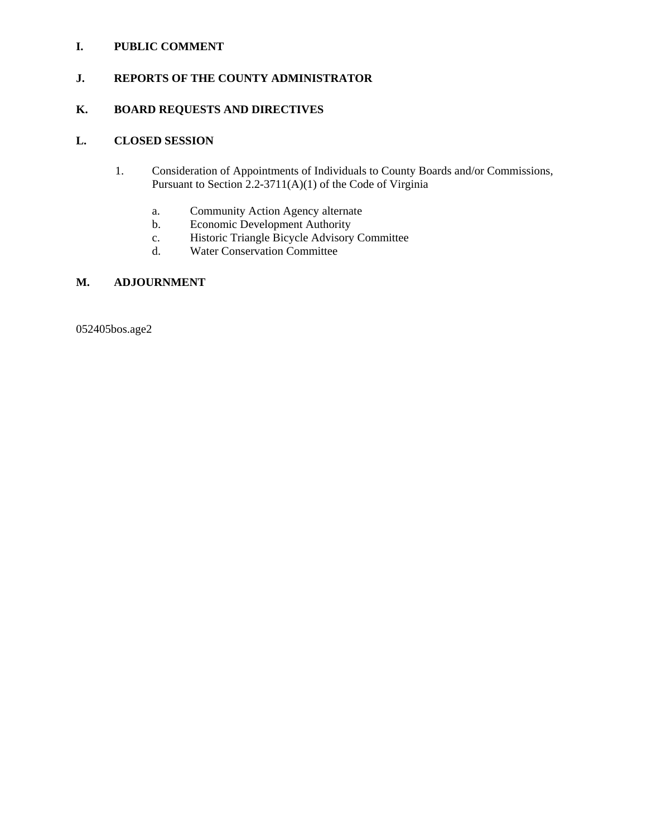## **I. PUBLIC COMMENT**

## **J. REPORTS OF THE COUNTY ADMINISTRATOR**

# **K. BOARD REQUESTS AND DIRECTIVES**

## **L. CLOSED SESSION**

- 1. Consideration of Appointments of Individuals to County Boards and/or Commissions, Pursuant to Section 2.2-3711(A)(1) of the Code of Virginia
	- a. Community Action Agency alternate
	- b. Economic Development Authority
	- c. Historic Triangle Bicycle Advisory Committee
	- d. Water Conservation Committee

## **M. ADJOURNMENT**

052405bos.age2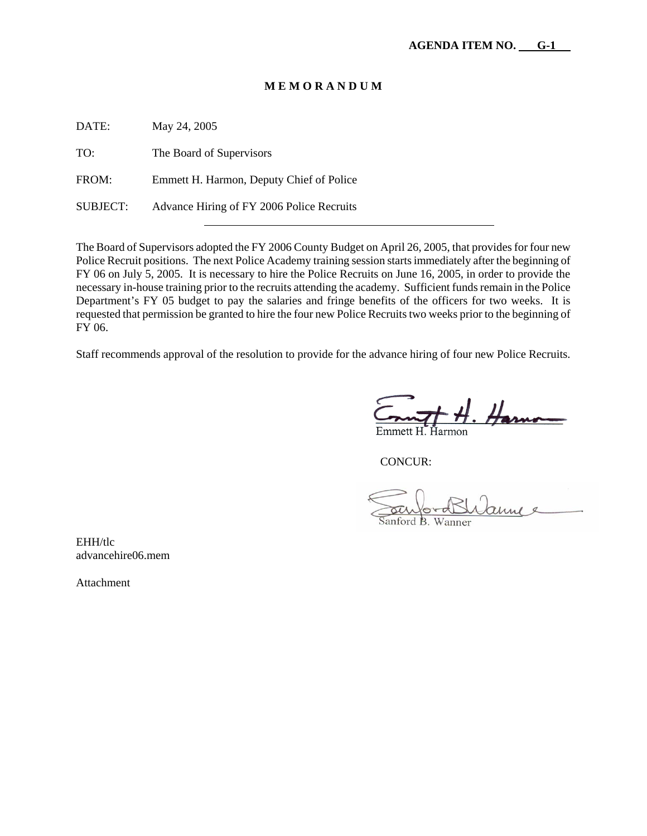| DATE:           | May 24, 2005                              |
|-----------------|-------------------------------------------|
| TO:             | The Board of Supervisors                  |
| FROM:           | Emmett H. Harmon, Deputy Chief of Police  |
| <b>SUBJECT:</b> | Advance Hiring of FY 2006 Police Recruits |

The Board of Supervisors adopted the FY 2006 County Budget on April 26, 2005, that provides for four new Police Recruit positions. The next Police Academy training session starts immediately after the beginning of FY 06 on July 5, 2005. It is necessary to hire the Police Recruits on June 16, 2005, in order to provide the necessary in-house training prior to the recruits attending the academy. Sufficient funds remain in the Police Department's FY 05 budget to pay the salaries and fringe benefits of the officers for two weeks. It is requested that permission be granted to hire the four new Police Recruits two weeks prior to the beginning of FY 06.

Staff recommends approval of the resolution to provide for the advance hiring of four new Police Recruits.

 $m$  of H. Harno

CONCUR:

annee anford B. Wanner

EHH/tlc advancehire06.mem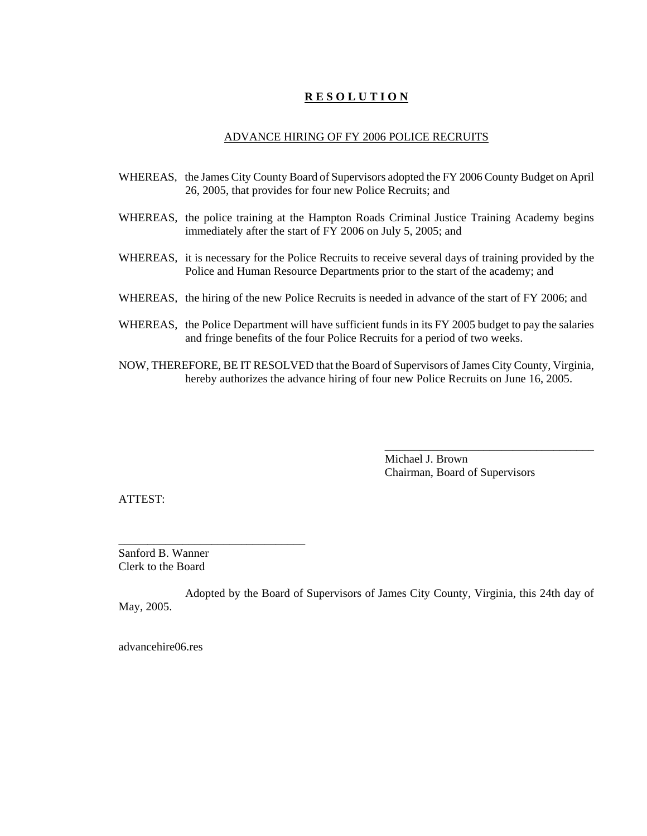### ADVANCE HIRING OF FY 2006 POLICE RECRUITS

- WHEREAS, the James City County Board of Supervisors adopted the FY 2006 County Budget on April 26, 2005, that provides for four new Police Recruits; and
- WHEREAS, the police training at the Hampton Roads Criminal Justice Training Academy begins immediately after the start of FY 2006 on July 5, 2005; and
- WHEREAS, it is necessary for the Police Recruits to receive several days of training provided by the Police and Human Resource Departments prior to the start of the academy; and
- WHEREAS, the hiring of the new Police Recruits is needed in advance of the start of FY 2006; and
- WHEREAS, the Police Department will have sufficient funds in its FY 2005 budget to pay the salaries and fringe benefits of the four Police Recruits for a period of two weeks.
- NOW, THEREFORE, BE IT RESOLVED that the Board of Supervisors of James City County, Virginia, hereby authorizes the advance hiring of four new Police Recruits on June 16, 2005.

Michael J. Brown Chairman, Board of Supervisors

\_\_\_\_\_\_\_\_\_\_\_\_\_\_\_\_\_\_\_\_\_\_\_\_\_\_\_\_\_\_\_\_\_\_\_\_

ATTEST:

Sanford B. Wanner Clerk to the Board

\_\_\_\_\_\_\_\_\_\_\_\_\_\_\_\_\_\_\_\_\_\_\_\_\_\_\_\_\_\_\_\_

Adopted by the Board of Supervisors of James City County, Virginia, this 24th day of May, 2005.

advancehire06.res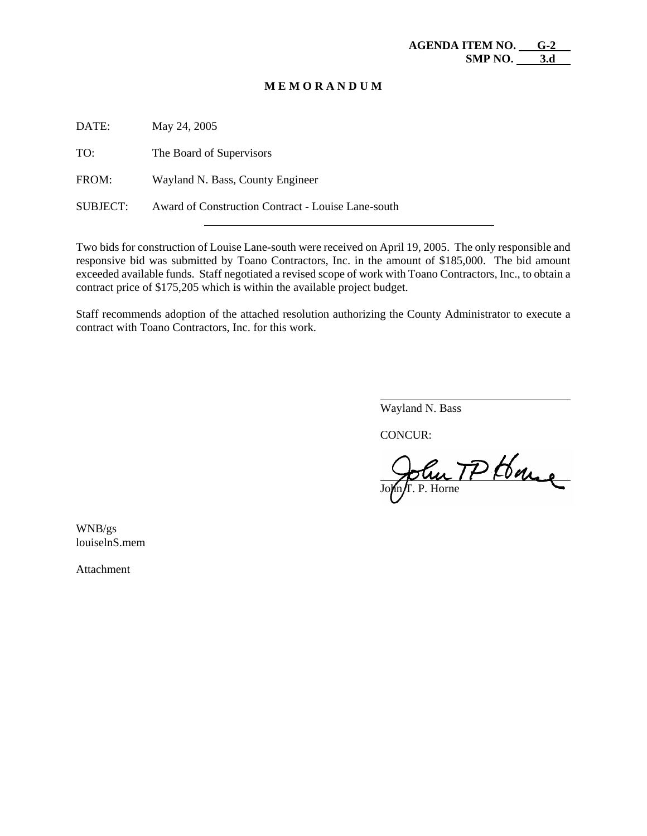| May 24, 2005                                       |
|----------------------------------------------------|
| The Board of Supervisors                           |
| Wayland N. Bass, County Engineer                   |
| Award of Construction Contract - Louise Lane-south |
|                                                    |

Two bids for construction of Louise Lane-south were received on April 19, 2005. The only responsible and responsive bid was submitted by Toano Contractors, Inc. in the amount of \$185,000. The bid amount exceeded available funds. Staff negotiated a revised scope of work with Toano Contractors, Inc., to obtain a contract price of \$175,205 which is within the available project budget.

Staff recommends adoption of the attached resolution authorizing the County Administrator to execute a contract with Toano Contractors, Inc. for this work.

Wayland N. Bass

CONCUR:

 $\overline{a}$ 

 John TP House

WNB/gs louiselnS.mem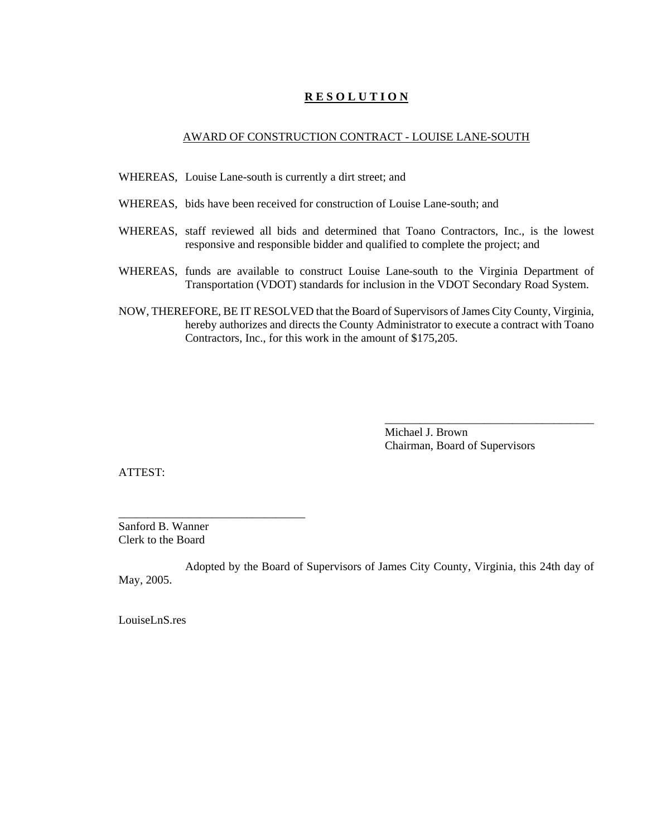### AWARD OF CONSTRUCTION CONTRACT - LOUISE LANE-SOUTH

- WHEREAS, Louise Lane-south is currently a dirt street; and
- WHEREAS, bids have been received for construction of Louise Lane-south; and
- WHEREAS, staff reviewed all bids and determined that Toano Contractors, Inc., is the lowest responsive and responsible bidder and qualified to complete the project; and
- WHEREAS, funds are available to construct Louise Lane-south to the Virginia Department of Transportation (VDOT) standards for inclusion in the VDOT Secondary Road System.
- NOW, THEREFORE, BE IT RESOLVED that the Board of Supervisors of James City County, Virginia, hereby authorizes and directs the County Administrator to execute a contract with Toano Contractors, Inc., for this work in the amount of \$175,205.

Michael J. Brown Chairman, Board of Supervisors

\_\_\_\_\_\_\_\_\_\_\_\_\_\_\_\_\_\_\_\_\_\_\_\_\_\_\_\_\_\_\_\_\_\_\_\_

ATTEST:

Sanford B. Wanner Clerk to the Board

\_\_\_\_\_\_\_\_\_\_\_\_\_\_\_\_\_\_\_\_\_\_\_\_\_\_\_\_\_\_\_\_

Adopted by the Board of Supervisors of James City County, Virginia, this 24th day of May, 2005.

LouiseLnS.res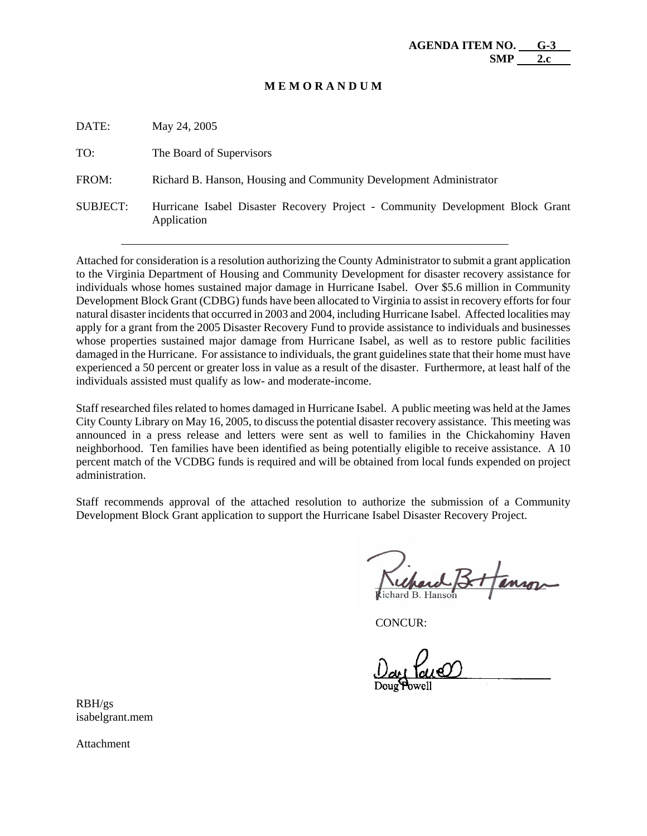DATE: May 24, 2005 TO: The Board of Supervisors FROM: Richard B. Hanson, Housing and Community Development Administrator SUBJECT: Hurricane Isabel Disaster Recovery Project - Community Development Block Grant Application

Attached for consideration is a resolution authorizing the County Administrator to submit a grant application to the Virginia Department of Housing and Community Development for disaster recovery assistance for individuals whose homes sustained major damage in Hurricane Isabel. Over \$5.6 million in Community Development Block Grant (CDBG) funds have been allocated to Virginia to assist in recovery efforts for four natural disaster incidents that occurred in 2003 and 2004, including Hurricane Isabel. Affected localities may apply for a grant from the 2005 Disaster Recovery Fund to provide assistance to individuals and businesses whose properties sustained major damage from Hurricane Isabel, as well as to restore public facilities damaged in the Hurricane. For assistance to individuals, the grant guidelines state that their home must have experienced a 50 percent or greater loss in value as a result of the disaster. Furthermore, at least half of the individuals assisted must qualify as low- and moderate-income.

Staff researched files related to homes damaged in Hurricane Isabel. A public meeting was held at the James City County Library on May 16, 2005, to discuss the potential disaster recovery assistance. This meeting was announced in a press release and letters were sent as well to families in the Chickahominy Haven neighborhood. Ten families have been identified as being potentially eligible to receive assistance. A 10 percent match of the VCDBG funds is required and will be obtained from local funds expended on project administration.

Staff recommends approval of the attached resolution to authorize the submission of a Community Development Block Grant application to support the Hurricane Isabel Disaster Recovery Project.

CONCUR:

RBH/gs isabelgrant.mem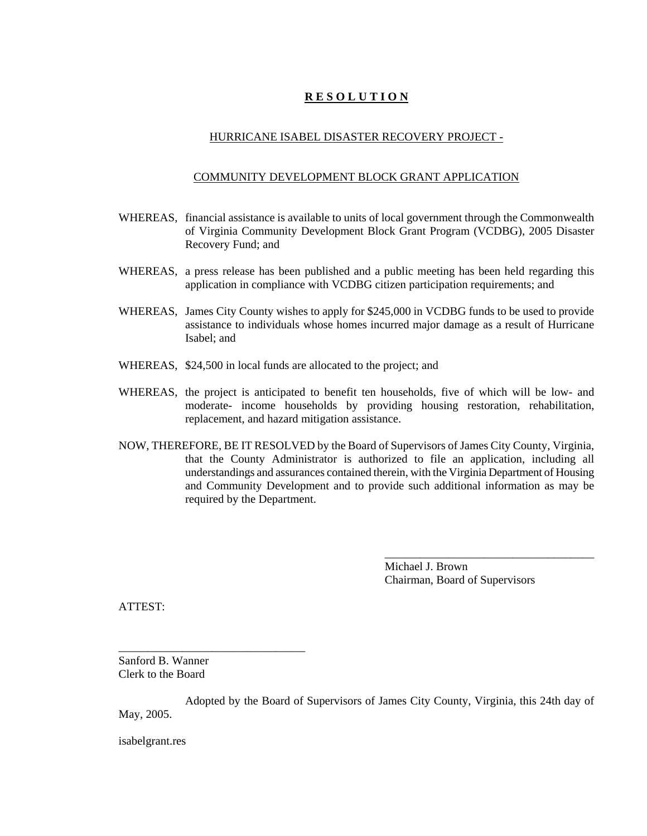## HURRICANE ISABEL DISASTER RECOVERY PROJECT -

### COMMUNITY DEVELOPMENT BLOCK GRANT APPLICATION

- WHEREAS, financial assistance is available to units of local government through the Commonwealth of Virginia Community Development Block Grant Program (VCDBG), 2005 Disaster Recovery Fund; and
- WHEREAS, a press release has been published and a public meeting has been held regarding this application in compliance with VCDBG citizen participation requirements; and
- WHEREAS, James City County wishes to apply for \$245,000 in VCDBG funds to be used to provide assistance to individuals whose homes incurred major damage as a result of Hurricane Isabel; and
- WHEREAS, \$24,500 in local funds are allocated to the project; and
- WHEREAS, the project is anticipated to benefit ten households, five of which will be low- and moderate- income households by providing housing restoration, rehabilitation, replacement, and hazard mitigation assistance.
- NOW, THEREFORE, BE IT RESOLVED by the Board of Supervisors of James City County, Virginia, that the County Administrator is authorized to file an application, including all understandings and assurances contained therein, with the Virginia Department of Housing and Community Development and to provide such additional information as may be required by the Department.

Michael J. Brown Chairman, Board of Supervisors

\_\_\_\_\_\_\_\_\_\_\_\_\_\_\_\_\_\_\_\_\_\_\_\_\_\_\_\_\_\_\_\_\_\_\_\_

ATTEST:

\_\_\_\_\_\_\_\_\_\_\_\_\_\_\_\_\_\_\_\_\_\_\_\_\_\_\_\_\_\_\_\_ Sanford B. Wanner Clerk to the Board

Adopted by the Board of Supervisors of James City County, Virginia, this 24th day of May, 2005.

isabelgrant.res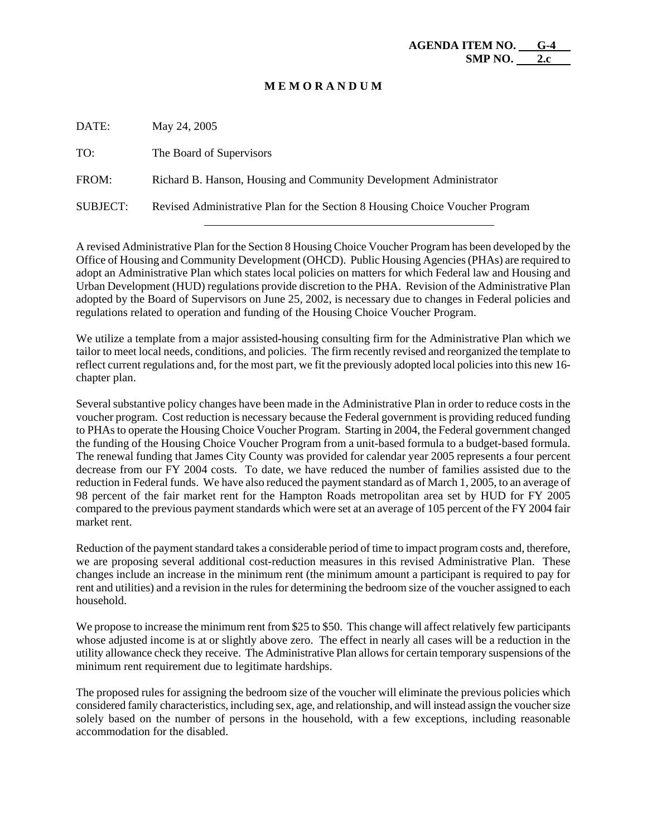| DATE:    | May 24, 2005                                                                 |
|----------|------------------------------------------------------------------------------|
| TO:      | The Board of Supervisors                                                     |
| FROM:    | Richard B. Hanson, Housing and Community Development Administrator           |
| SUBJECT: | Revised Administrative Plan for the Section 8 Housing Choice Voucher Program |

A revised Administrative Plan for the Section 8 Housing Choice Voucher Program has been developed by the Office of Housing and Community Development (OHCD). Public Housing Agencies (PHAs) are required to adopt an Administrative Plan which states local policies on matters for which Federal law and Housing and Urban Development (HUD) regulations provide discretion to the PHA. Revision of the Administrative Plan adopted by the Board of Supervisors on June 25, 2002, is necessary due to changes in Federal policies and regulations related to operation and funding of the Housing Choice Voucher Program.

We utilize a template from a major assisted-housing consulting firm for the Administrative Plan which we tailor to meet local needs, conditions, and policies. The firm recently revised and reorganized the template to reflect current regulations and, for the most part, we fit the previously adopted local policies into this new 16 chapter plan.

Several substantive policy changes have been made in the Administrative Plan in order to reduce costs in the voucher program. Cost reduction is necessary because the Federal government is providing reduced funding to PHAs to operate the Housing Choice Voucher Program. Starting in 2004, the Federal government changed the funding of the Housing Choice Voucher Program from a unit-based formula to a budget-based formula. The renewal funding that James City County was provided for calendar year 2005 represents a four percent decrease from our FY 2004 costs. To date, we have reduced the number of families assisted due to the reduction in Federal funds. We have also reduced the payment standard as of March 1, 2005, to an average of 98 percent of the fair market rent for the Hampton Roads metropolitan area set by HUD for FY 2005 compared to the previous payment standards which were set at an average of 105 percent of the FY 2004 fair market rent.

Reduction of the payment standard takes a considerable period of time to impact program costs and, therefore, we are proposing several additional cost-reduction measures in this revised Administrative Plan. These changes include an increase in the minimum rent (the minimum amount a participant is required to pay for rent and utilities) and a revision in the rules for determining the bedroom size of the voucher assigned to each household.

We propose to increase the minimum rent from \$25 to \$50. This change will affect relatively few participants whose adjusted income is at or slightly above zero. The effect in nearly all cases will be a reduction in the utility allowance check they receive. The Administrative Plan allows for certain temporary suspensions of the minimum rent requirement due to legitimate hardships.

The proposed rules for assigning the bedroom size of the voucher will eliminate the previous policies which considered family characteristics, including sex, age, and relationship, and will instead assign the voucher size solely based on the number of persons in the household, with a few exceptions, including reasonable accommodation for the disabled.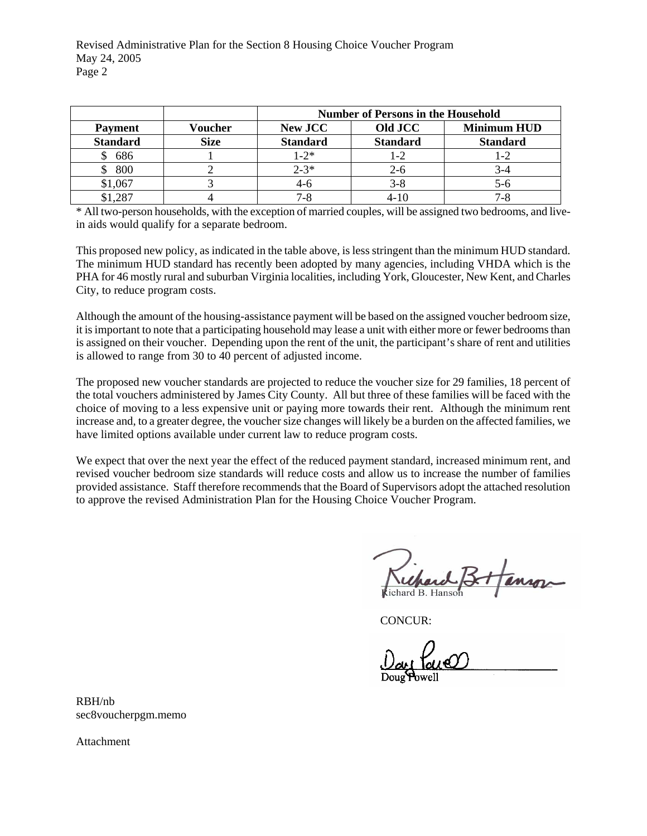|                 |             | <b>Number of Persons in the Household</b> |                 |                    |
|-----------------|-------------|-------------------------------------------|-----------------|--------------------|
| <b>Payment</b>  | Voucher     | <b>New JCC</b>                            | Old JCC         | <b>Minimum HUD</b> |
| <b>Standard</b> | <b>Size</b> | <b>Standard</b>                           | <b>Standard</b> | <b>Standard</b>    |
| 686             |             | $1 - 2*$                                  | 1-2             | 1-2                |
| 800             |             | $2 - 3*$                                  | 2-6             | 3-4                |
| \$1,067         |             | $4-6$                                     | 3-8             | $5-6$              |
| \$1,287         |             | $7 - 8$                                   |                 | 7-8                |

\* All two-person households, with the exception of married couples, will be assigned two bedrooms, and livein aids would qualify for a separate bedroom.

This proposed new policy, as indicated in the table above, is less stringent than the minimum HUD standard. The minimum HUD standard has recently been adopted by many agencies, including VHDA which is the PHA for 46 mostly rural and suburban Virginia localities, including York, Gloucester, New Kent, and Charles City, to reduce program costs.

Although the amount of the housing-assistance payment will be based on the assigned voucher bedroom size, it is important to note that a participating household may lease a unit with either more or fewer bedrooms than is assigned on their voucher. Depending upon the rent of the unit, the participant's share of rent and utilities is allowed to range from 30 to 40 percent of adjusted income.

The proposed new voucher standards are projected to reduce the voucher size for 29 families, 18 percent of the total vouchers administered by James City County. All but three of these families will be faced with the choice of moving to a less expensive unit or paying more towards their rent. Although the minimum rent increase and, to a greater degree, the voucher size changes will likely be a burden on the affected families, we have limited options available under current law to reduce program costs.

We expect that over the next year the effect of the reduced payment standard, increased minimum rent, and revised voucher bedroom size standards will reduce costs and allow us to increase the number of families provided assistance. Staff therefore recommends that the Board of Supervisors adopt the attached resolution to approve the revised Administration Plan for the Housing Choice Voucher Program.

CONCUR:

RBH/nb sec8voucherpgm.memo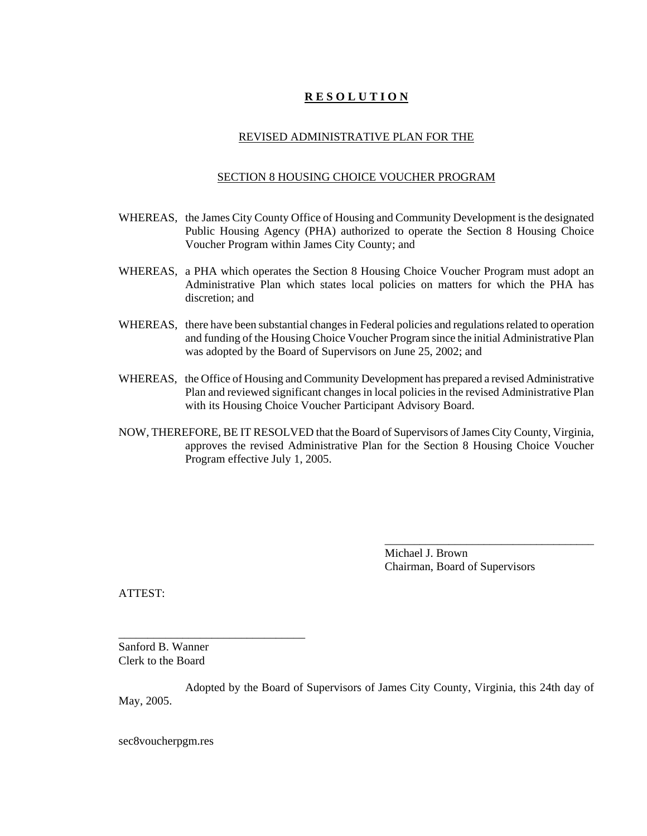### REVISED ADMINISTRATIVE PLAN FOR THE

#### SECTION 8 HOUSING CHOICE VOUCHER PROGRAM

- WHEREAS, the James City County Office of Housing and Community Development is the designated Public Housing Agency (PHA) authorized to operate the Section 8 Housing Choice Voucher Program within James City County; and
- WHEREAS, a PHA which operates the Section 8 Housing Choice Voucher Program must adopt an Administrative Plan which states local policies on matters for which the PHA has discretion; and
- WHEREAS, there have been substantial changes in Federal policies and regulations related to operation and funding of the Housing Choice Voucher Program since the initial Administrative Plan was adopted by the Board of Supervisors on June 25, 2002; and
- WHEREAS, the Office of Housing and Community Development has prepared a revised Administrative Plan and reviewed significant changes in local policies in the revised Administrative Plan with its Housing Choice Voucher Participant Advisory Board.
- NOW, THEREFORE, BE IT RESOLVED that the Board of Supervisors of James City County, Virginia, approves the revised Administrative Plan for the Section 8 Housing Choice Voucher Program effective July 1, 2005.

Michael J. Brown Chairman, Board of Supervisors

\_\_\_\_\_\_\_\_\_\_\_\_\_\_\_\_\_\_\_\_\_\_\_\_\_\_\_\_\_\_\_\_\_\_\_\_

ATTEST:

Sanford B. Wanner Clerk to the Board

\_\_\_\_\_\_\_\_\_\_\_\_\_\_\_\_\_\_\_\_\_\_\_\_\_\_\_\_\_\_\_\_

Adopted by the Board of Supervisors of James City County, Virginia, this 24th day of May, 2005.

sec8voucherpgm.res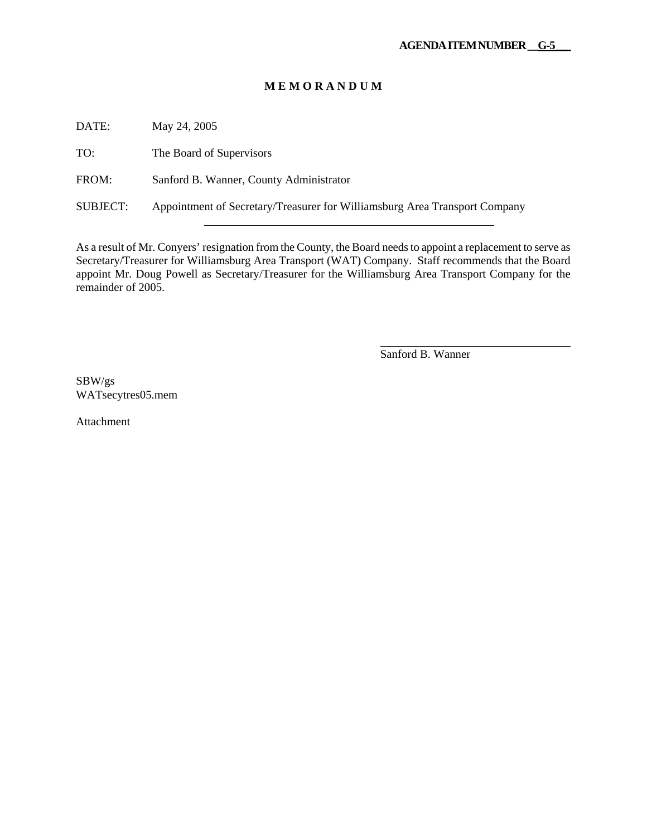DATE: May 24, 2005

TO: The Board of Supervisors

FROM: Sanford B. Wanner, County Administrator

SUBJECT: Appointment of Secretary/Treasurer for Williamsburg Area Transport Company

As a result of Mr. Conyers' resignation from the County, the Board needs to appoint a replacement to serve as Secretary/Treasurer for Williamsburg Area Transport (WAT) Company. Staff recommends that the Board appoint Mr. Doug Powell as Secretary/Treasurer for the Williamsburg Area Transport Company for the remainder of 2005.

Sanford B. Wanner

 $\overline{a}$ 

SBW/gs WATsecytres05.mem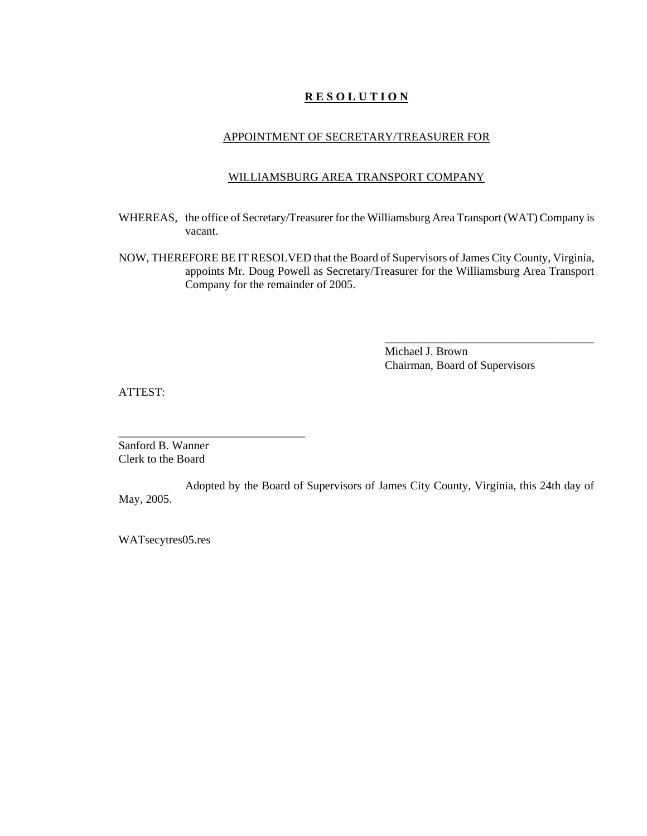### APPOINTMENT OF SECRETARY/TREASURER FOR

### WILLIAMSBURG AREA TRANSPORT COMPANY

- WHEREAS, the office of Secretary/Treasurer for the Williamsburg Area Transport (WAT) Company is vacant.
- NOW, THEREFORE BE IT RESOLVED that the Board of Supervisors of James City County, Virginia, appoints Mr. Doug Powell as Secretary/Treasurer for the Williamsburg Area Transport Company for the remainder of 2005.

Michael J. Brown Chairman, Board of Supervisors

\_\_\_\_\_\_\_\_\_\_\_\_\_\_\_\_\_\_\_\_\_\_\_\_\_\_\_\_\_\_\_\_\_\_\_\_

ATTEST:

Sanford B. Wanner Clerk to the Board

\_\_\_\_\_\_\_\_\_\_\_\_\_\_\_\_\_\_\_\_\_\_\_\_\_\_\_\_\_\_\_\_

Adopted by the Board of Supervisors of James City County, Virginia, this 24th day of May, 2005.

WATsecytres05.res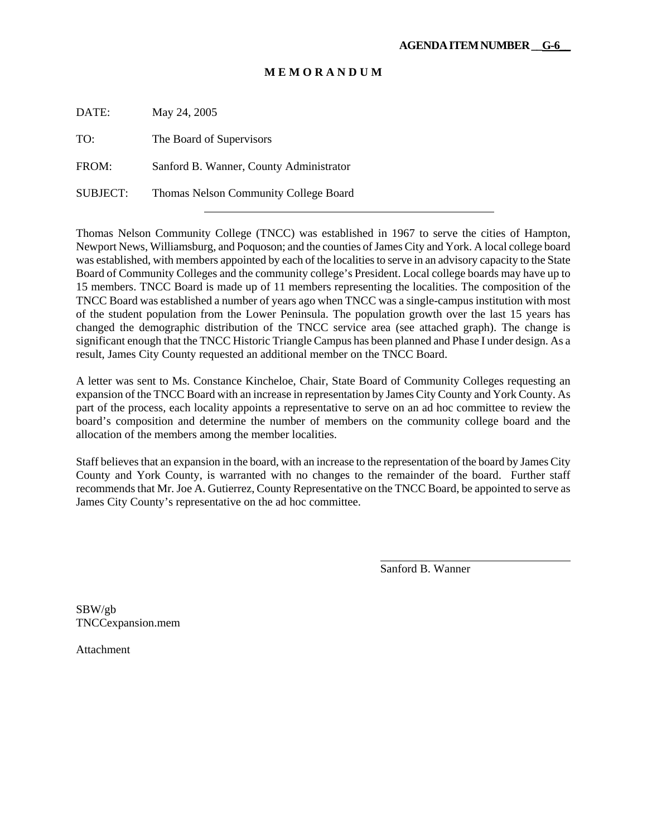DATE: May 24, 2005

TO: The Board of Supervisors

FROM: Sanford B. Wanner, County Administrator

SUBJECT: Thomas Nelson Community College Board

Thomas Nelson Community College (TNCC) was established in 1967 to serve the cities of Hampton, Newport News, Williamsburg, and Poquoson; and the counties of James City and York. A local college board was established, with members appointed by each of the localities to serve in an advisory capacity to the State Board of Community Colleges and the community college's President. Local college boards may have up to 15 members. TNCC Board is made up of 11 members representing the localities. The composition of the TNCC Board was established a number of years ago when TNCC was a single-campus institution with most of the student population from the Lower Peninsula. The population growth over the last 15 years has changed the demographic distribution of the TNCC service area (see attached graph). The change is significant enough that the TNCC Historic Triangle Campus has been planned and Phase I under design. As a result, James City County requested an additional member on the TNCC Board.

A letter was sent to Ms. Constance Kincheloe, Chair, State Board of Community Colleges requesting an expansion of the TNCC Board with an increase in representation by James City County and York County. As part of the process, each locality appoints a representative to serve on an ad hoc committee to review the board's composition and determine the number of members on the community college board and the allocation of the members among the member localities.

Staff believes that an expansion in the board, with an increase to the representation of the board by James City County and York County, is warranted with no changes to the remainder of the board. Further staff recommends that Mr. Joe A. Gutierrez, County Representative on the TNCC Board, be appointed to serve as James City County's representative on the ad hoc committee.

Sanford B. Wanner

 $\overline{a}$ 

SBW/gb TNCCexpansion.mem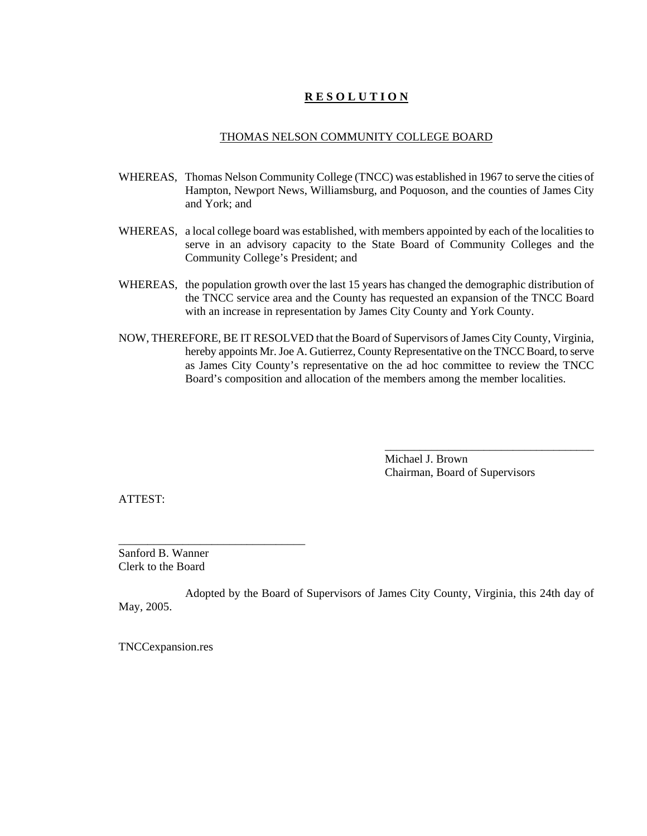## THOMAS NELSON COMMUNITY COLLEGE BOARD

- WHEREAS, Thomas Nelson Community College (TNCC) was established in 1967 to serve the cities of Hampton, Newport News, Williamsburg, and Poquoson, and the counties of James City and York; and
- WHEREAS, a local college board was established, with members appointed by each of the localities to serve in an advisory capacity to the State Board of Community Colleges and the Community College's President; and
- WHEREAS, the population growth over the last 15 years has changed the demographic distribution of the TNCC service area and the County has requested an expansion of the TNCC Board with an increase in representation by James City County and York County.
- NOW, THEREFORE, BE IT RESOLVED that the Board of Supervisors of James City County, Virginia, hereby appoints Mr. Joe A. Gutierrez, County Representative on the TNCC Board, to serve as James City County's representative on the ad hoc committee to review the TNCC Board's composition and allocation of the members among the member localities.

Michael J. Brown Chairman, Board of Supervisors

\_\_\_\_\_\_\_\_\_\_\_\_\_\_\_\_\_\_\_\_\_\_\_\_\_\_\_\_\_\_\_\_\_\_\_\_

ATTEST:

Sanford B. Wanner Clerk to the Board

\_\_\_\_\_\_\_\_\_\_\_\_\_\_\_\_\_\_\_\_\_\_\_\_\_\_\_\_\_\_\_\_

Adopted by the Board of Supervisors of James City County, Virginia, this 24th day of May, 2005.

TNCCexpansion.res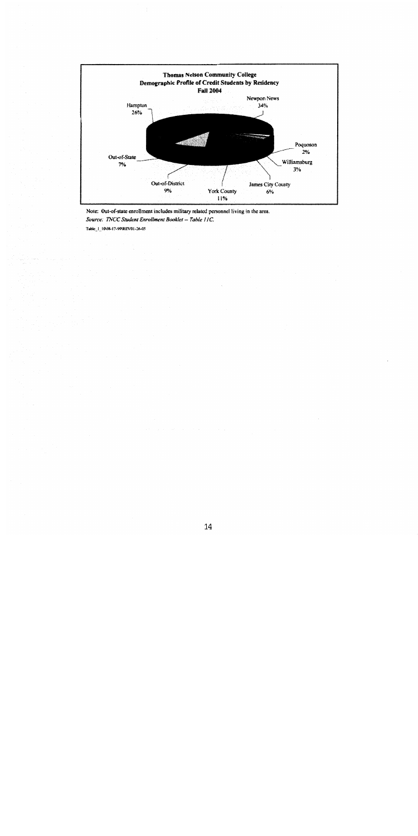

Note: Out-of-state enrollment includes military related personnel living in the area. Source: TNCC Student Enrollment Booklet - Table 11C. Table\_1\_10\08-17-99\REV01-26-05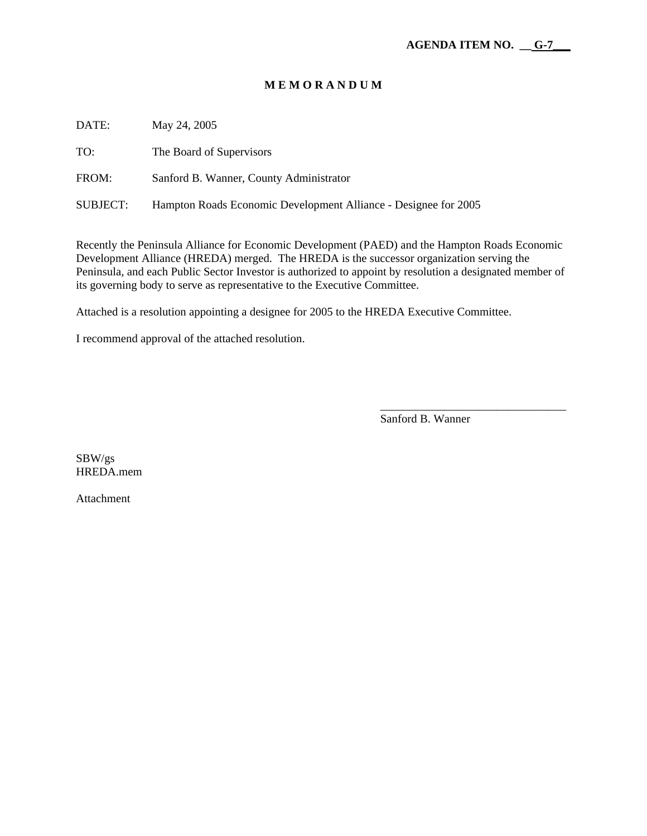| DATE:    | May 24, 2005                                                    |
|----------|-----------------------------------------------------------------|
| TO:      | The Board of Supervisors                                        |
| FROM:    | Sanford B. Wanner, County Administrator                         |
| SUBJECT: | Hampton Roads Economic Development Alliance - Designee for 2005 |

Recently the Peninsula Alliance for Economic Development (PAED) and the Hampton Roads Economic Development Alliance (HREDA) merged. The HREDA is the successor organization serving the Peninsula, and each Public Sector Investor is authorized to appoint by resolution a designated member of its governing body to serve as representative to the Executive Committee.

 $\overline{\phantom{a}}$  , and the contract of the contract of the contract of the contract of the contract of the contract of the contract of the contract of the contract of the contract of the contract of the contract of the contrac

Attached is a resolution appointing a designee for 2005 to the HREDA Executive Committee.

I recommend approval of the attached resolution.

Sanford B. Wanner

SBW/gs HREDA.mem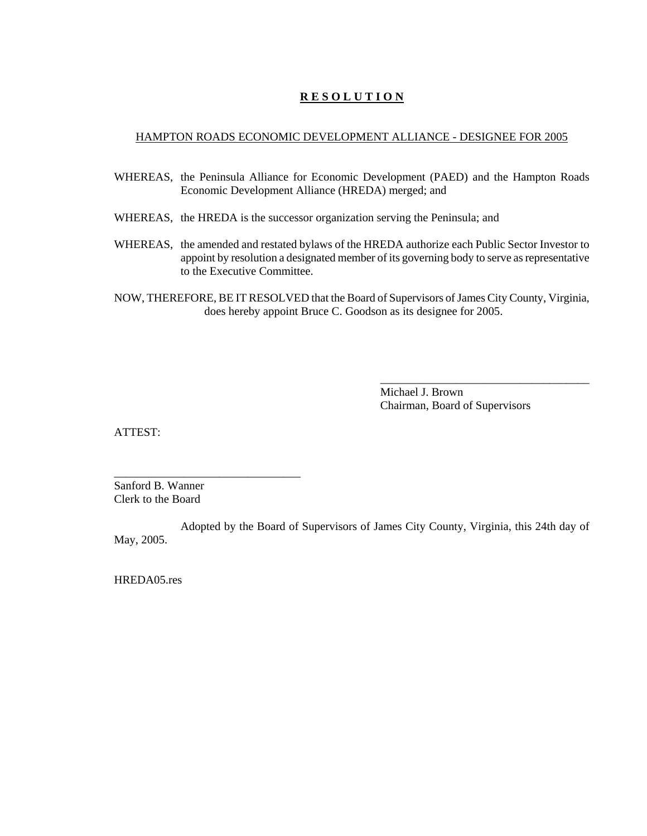### HAMPTON ROADS ECONOMIC DEVELOPMENT ALLIANCE - DESIGNEE FOR 2005

- WHEREAS, the Peninsula Alliance for Economic Development (PAED) and the Hampton Roads Economic Development Alliance (HREDA) merged; and
- WHEREAS, the HREDA is the successor organization serving the Peninsula; and
- WHEREAS, the amended and restated bylaws of the HREDA authorize each Public Sector Investor to appoint by resolution a designated member of its governing body to serve as representative to the Executive Committee.
- NOW, THEREFORE, BE IT RESOLVED that the Board of Supervisors of James City County, Virginia, does hereby appoint Bruce C. Goodson as its designee for 2005.

Michael J. Brown Chairman, Board of Supervisors

\_\_\_\_\_\_\_\_\_\_\_\_\_\_\_\_\_\_\_\_\_\_\_\_\_\_\_\_\_\_\_\_\_\_\_\_

ATTEST:

Sanford B. Wanner Clerk to the Board

\_\_\_\_\_\_\_\_\_\_\_\_\_\_\_\_\_\_\_\_\_\_\_\_\_\_\_\_\_\_\_\_

Adopted by the Board of Supervisors of James City County, Virginia, this 24th day of May, 2005.

HREDA05.res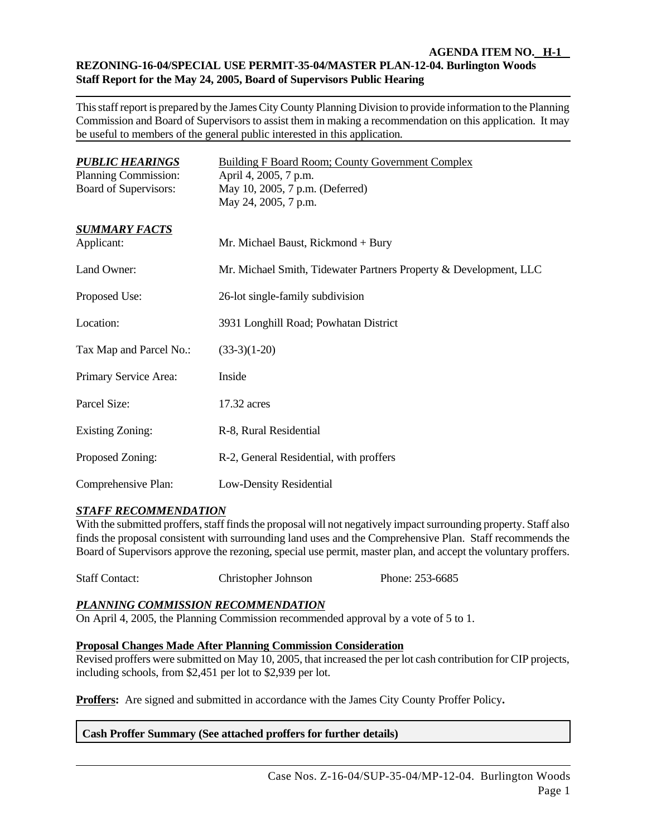### **AGENDA ITEM NO. H-1 REZONING-16-04/SPECIAL USE PERMIT-35-04/MASTER PLAN-12-04. Burlington Woods Staff Report for the May 24, 2005, Board of Supervisors Public Hearing**

This staff report is prepared by the James City County Planning Division to provide information to the Planning Commission and Board of Supervisors to assist them in making a recommendation on this application. It may be useful to members of the general public interested in this application*.*

| <b>PUBLIC HEARINGS</b><br>Planning Commission:<br>Board of Supervisors: | <b>Building F Board Room; County Government Complex</b><br>April 4, 2005, 7 p.m.<br>May 10, 2005, 7 p.m. (Deferred)<br>May 24, 2005, 7 p.m. |
|-------------------------------------------------------------------------|---------------------------------------------------------------------------------------------------------------------------------------------|
| <b>SUMMARY FACTS</b><br>Applicant:                                      | Mr. Michael Baust, Rickmond + Bury                                                                                                          |
| Land Owner:                                                             | Mr. Michael Smith, Tidewater Partners Property & Development, LLC                                                                           |
| Proposed Use:                                                           | 26-lot single-family subdivision                                                                                                            |
| Location:                                                               | 3931 Longhill Road; Powhatan District                                                                                                       |
| Tax Map and Parcel No.:                                                 | $(33-3)(1-20)$                                                                                                                              |
| Primary Service Area:                                                   | Inside                                                                                                                                      |
| Parcel Size:                                                            | 17.32 acres                                                                                                                                 |
| <b>Existing Zoning:</b>                                                 | R-8, Rural Residential                                                                                                                      |
| Proposed Zoning:                                                        | R-2, General Residential, with proffers                                                                                                     |
| Comprehensive Plan:                                                     | Low-Density Residential                                                                                                                     |

## *STAFF RECOMMENDATION*

With the submitted proffers, staff finds the proposal will not negatively impact surrounding property. Staff also finds the proposal consistent with surrounding land uses and the Comprehensive Plan. Staff recommends the Board of Supervisors approve the rezoning, special use permit, master plan, and accept the voluntary proffers.

Staff Contact: Christopher Johnson Phone: 253-6685

## *PLANNING COMMISSION RECOMMENDATION*

On April 4, 2005, the Planning Commission recommended approval by a vote of 5 to 1.

## **Proposal Changes Made After Planning Commission Consideration**

Revised proffers were submitted on May 10, 2005, that increased the per lot cash contribution for CIP projects, including schools, from \$2,451 per lot to \$2,939 per lot.

**Proffers:** Are signed and submitted in accordance with the James City County Proffer Policy**.**

## **Cash Proffer Summary (See attached proffers for further details)**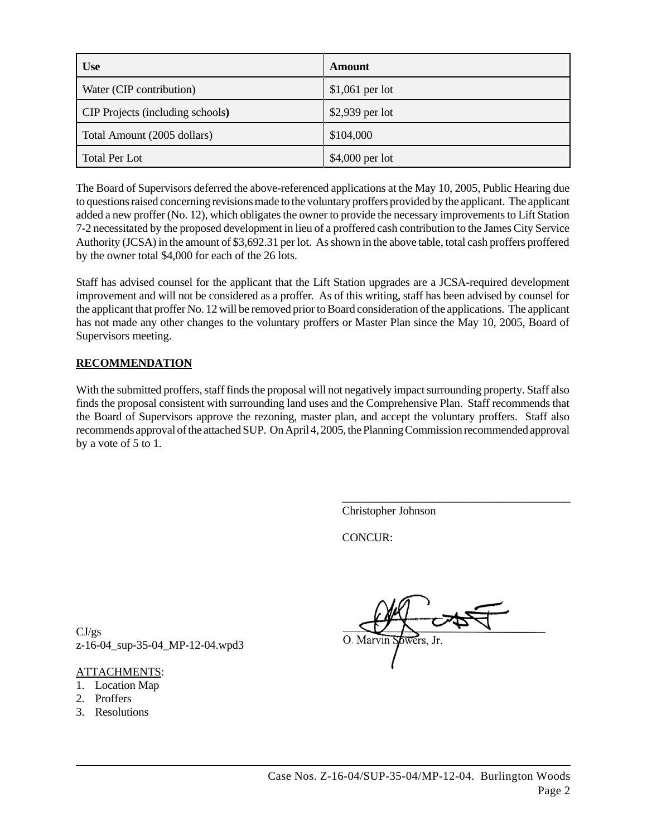| <b>Use</b>                              | Amount           |
|-----------------------------------------|------------------|
| Water (CIP contribution)                | $$1,061$ per lot |
| <b>CIP</b> Projects (including schools) | \$2,939 per lot  |
| Total Amount (2005 dollars)             | \$104,000        |
| <b>Total Per Lot</b>                    | \$4,000 per lot  |

The Board of Supervisors deferred the above-referenced applications at the May 10, 2005, Public Hearing due to questions raised concerning revisions made to the voluntary proffers provided by the applicant. The applicant added a new proffer (No. 12), which obligates the owner to provide the necessary improvements to Lift Station 7-2 necessitated by the proposed development in lieu of a proffered cash contribution to the James City Service Authority (JCSA) in the amount of \$3,692.31 per lot. As shown in the above table, total cash proffers proffered by the owner total \$4,000 for each of the 26 lots.

Staff has advised counsel for the applicant that the Lift Station upgrades are a JCSA-required development improvement and will not be considered as a proffer. As of this writing, staff has been advised by counsel for the applicant that proffer No. 12 will be removed prior to Board consideration of the applications. The applicant has not made any other changes to the voluntary proffers or Master Plan since the May 10, 2005, Board of Supervisors meeting.

# **RECOMMENDATION**

With the submitted proffers, staff finds the proposal will not negatively impact surrounding property. Staff also finds the proposal consistent with surrounding land uses and the Comprehensive Plan. Staff recommends that the Board of Supervisors approve the rezoning, master plan, and accept the voluntary proffers. Staff also recommends approval of the attached SUP. On April 4, 2005, the Planning Commission recommended approval by a vote of 5 to 1.

Christopher Johnson

CONCUR:

 $\frac{CI/gs}{I}$ z-16-04\_sup-35-04\_MP-12-04.wpd3

## ATTACHMENTS:

- 1. Location Map
- 2. Proffers
- 3. Resolutions

\_\_\_\_\_\_\_\_\_\_\_\_\_\_\_\_\_\_\_\_\_\_\_\_\_\_\_\_\_\_\_\_\_\_\_\_\_\_\_\_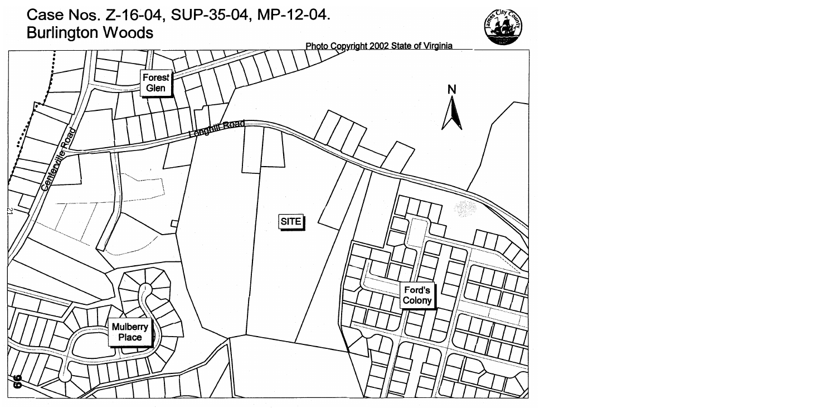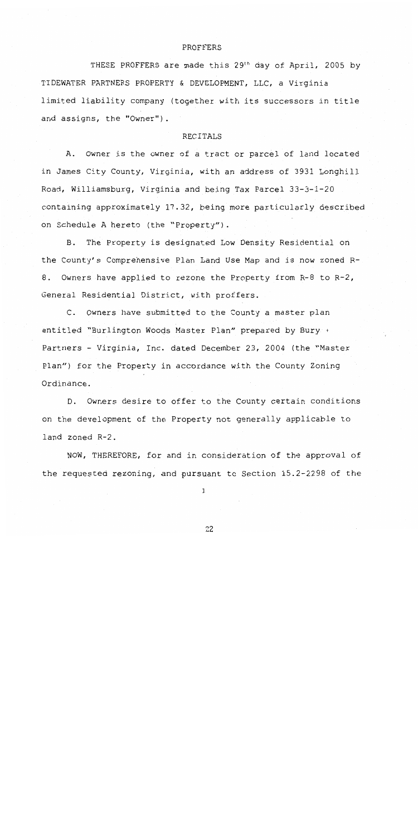#### PROFFERS

THESE PROFFERS are made this 29<sup>th</sup> day of April, 2005 by TIDEWATER PARTNERS PROPERTY & DEVELOPMENT, LLC, a Virginia limited liability company (together with its successors in title and assigns, the "Owner").

#### **RECITALS**

A. Owner is the owner of a tract or parcel of land located in James City County, Virginia, with an address of 3931 Longhill Road, Williamsburg, Virginia and being Tax Parcel 33-3-1-20 containing approximately 17.32, being more particularly described on Schedule A hereto (the "Property").

The Property is designated Low Density Residential on В. the County's Comprehensive Plan Land Use Map and is now zoned R-Owners have applied to rezone the Property from R-8 to R-2, 8. General Residential District, with proffers.

C. Owners have submitted to the County a master plan entitled "Burlington Woods Master Plan" prepared by Bury + Partners - Virginia, Inc. dated December 23, 2004 (the "Master Plan") for the Property in accordance with the County Zoning Ordinance.

D. Owners desire to offer to the County certain conditions on the development of the Property not generally applicable to land zoned R-2.

NOW, THEREFORE, for and in consideration of the approval of the requested rezoning, and pursuant to Section 15.2-2298 of the

1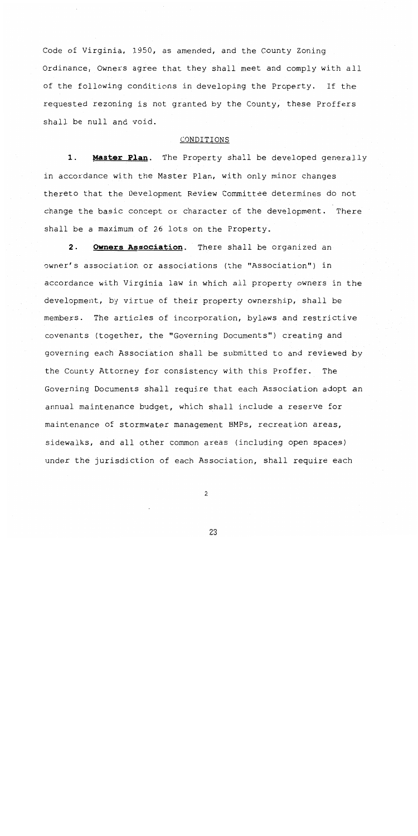Code of Virginia, 1950, as amended, and the County Zoning Ordinance, Owners agree that they shall meet and comply with all of the following conditions in developing the Property. If the requested rezoning is not granted by the County, these Proffers shall be null and void.

#### CONDITIONS

 $1.$ Master Plan. The Property shall be developed generally in accordance with the Master Plan, with only minor changes thereto that the Development Review Committee determines do not change the basic concept or character of the development. There shall be a maximum of 26 lots on the Property.

 $2.$ **Owners Association.** There shall be organized an owner's association or associations (the "Association") in accordance with Virginia law in which all property owners in the development, by virtue of their property ownership, shall be members. The articles of incorporation, bylaws and restrictive covenants (together, the "Governing Documents") creating and governing each Association shall be submitted to and reviewed by the County Attorney for consistency with this Proffer. The Governing Documents shall require that each Association adopt an annual maintenance budget, which shall include a reserve for maintenance of stormwater management BMPs, recreation areas, sidewalks, and all other common areas (including open spaces) under the jurisdiction of each Association, shall require each

 $\overline{c}$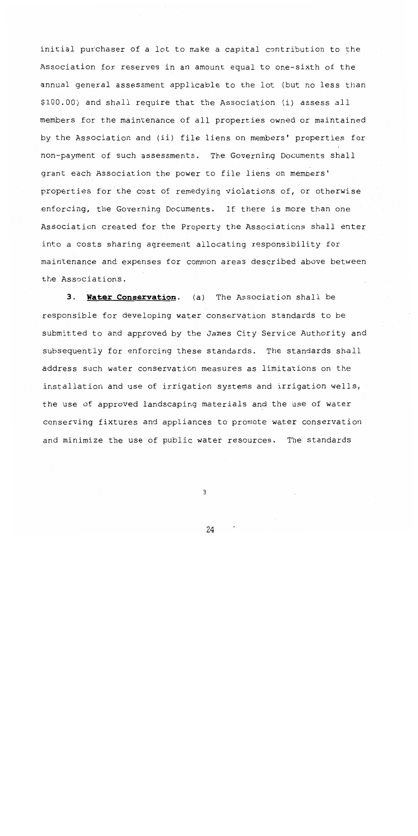initial purchaser of a lot to make a capital contribution to the Association for reserves in an amount equal to one-sixth of the annual general assessment applicable to the lot (but no less than \$100.00) and shall require that the Association (i) assess all members for the maintenance of all properties owned or maintained by the Association and (ii) file liens on members' properties for non-payment of such assessments. The Governing Documents shall grant each Association the power to file liens on members' properties for the cost of remedying violations of, or otherwise enforcing, the Governing Documents. If there is more than one Association created for the Property the Associations shall enter into a costs sharing agreement allocating responsibility for maintenance and expenses for common areas described above between the Associations.

3. Water Conservation. (a) The Association shall be responsible for developing water conservation standards to be submitted to and approved by the James City Service Authority and subsequently for enforcing these standards. The standards shall address such water conservation measures as limitations on the installation and use of irrigation systems and irrigation wells, the use of approved landscaping materials and the use of water conserving fixtures and appliances to promote water conservation and minimize the use of public water resources. The standards

3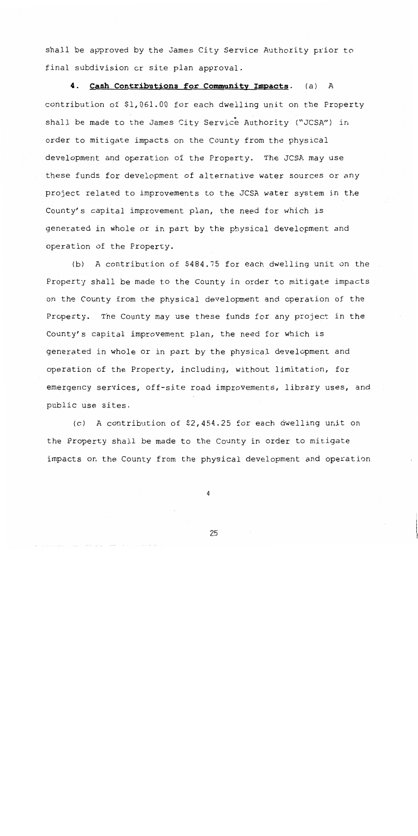shall be approved by the James City Service Authority prior to final subdivision or site plan approval.

4. Cash Contributions for Community Impacts. (a) A contribution of \$1,061.00 for each dwelling unit on the Property shall be made to the James City Service Authority ("JCSA") in order to mitigate impacts on the County from the physical development and operation of the Property. The JCSA may use these funds for development of alternative water sources or any project related to improvements to the JCSA water system in the County's capital improvement plan, the need for which is generated in whole or in part by the physical development and operation of the Property.

A contribution of \$484.75 for each dwelling unit on the  $(b)$ Property shall be made to the County in order to mitigate impacts on the County from the physical development and operation of the Property. The County may use these funds for any project in the County's capital improvement plan, the need for which is generated in whole or in part by the physical development and operation of the Property, including, without limitation, for emergency services, off-site road improvements, library uses, and public use sites.

(c) A contribution of \$2,454.25 for each dwelling unit on the Property shall be made to the County in order to mitigate impacts on the County from the physical development and operation

 $\overline{4}$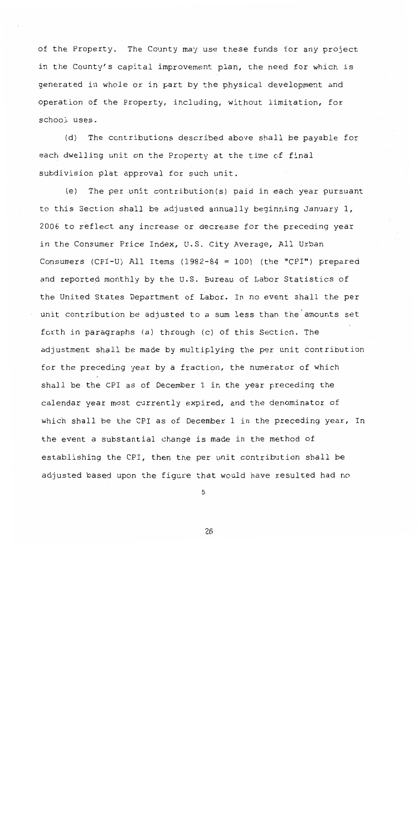of the Property. The County may use these funds for any project in the County's capital improvement plan, the need for which is generated in whole or in part by the physical development and operation of the Property, including, without limitation, for school uses.

The contributions described above shall be payable for  $(d)$ each dwelling unit on the Property at the time of final subdivision plat approval for such unit.

 $(e)$ The per unit contribution(s) paid in each year pursuant to this Section shall be adjusted annually beginning January 1, 2006 to reflect any increase or decrease for the preceding year in the Consumer Price Index, U.S. City Average, All Urban Consumers (CPI-U) All Items  $(1982-84 = 100)$  (the "CPI") prepared and reported monthly by the U.S. Bureau of Labor Statistics of the United States Department of Labor. In no event shall the per unit contribution be adjusted to a sum less than the amounts set forth in paragraphs (a) through (c) of this Section. The adjustment shall be made by multiplying the per unit contribution for the preceding year by a fraction, the numerator of which shall be the CPI as of December 1 in the year preceding the calendar year most currently expired, and the denominator of which shall be the CPI as of December 1 in the preceding year, In the event a substantial change is made in the method of establishing the CPI, then the per unit contribution shall be adjusted based upon the figure that would have resulted had no

5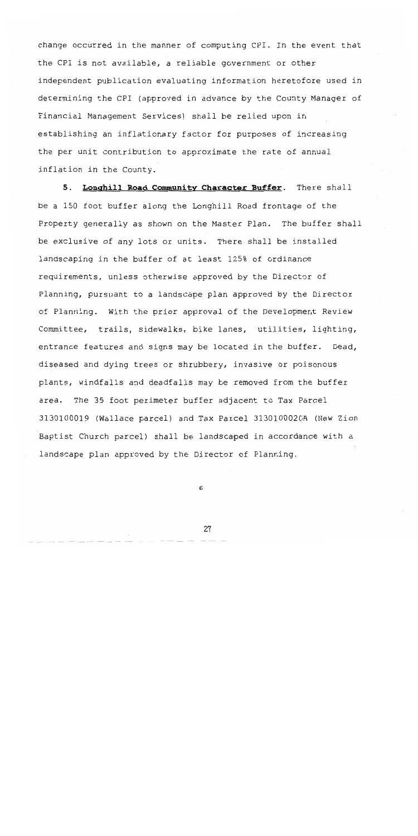change occurred in the manner of computing CPI. In the event that the CPI is not available, a reliable government or other independent publication evaluating information heretofore used in determining the CPI (approved in advance by the County Manager of Financial Management Services) shall be relied upon in establishing an inflationary factor for purposes of increasing the per unit contribution to approximate the rate of annual inflation in the County.

5. Longhill Road Community Character Buffer. There shall be a 150 foot buffer along the Longhill Road frontage of the Property generally as shown on the Master Plan. The buffer shall be exclusive of any lots or units. There shall be installed landscaping in the buffer of at least 125% of ordinance requirements, unless otherwise approved by the Director of Planning, pursuant to a landscape plan approved by the Director of Planning. With the prior approval of the Development Review Committee, trails, sidewalks, bike lanes, utilities, lighting, entrance features and signs may be located in the buffer. Dead, diseased and dying trees or shrubbery, invasive or poisonous plants, windfalls and deadfalls may be removed from the buffer area. The 35 foot perimeter buffer adjacent to Tax Parcel 3130100019 (Wallace parcel) and Tax Parcel 3130100020A (New Zion Baptist Church parcel) shall be landscaped in accordance with a landscape plan approved by the Director of Planning.

6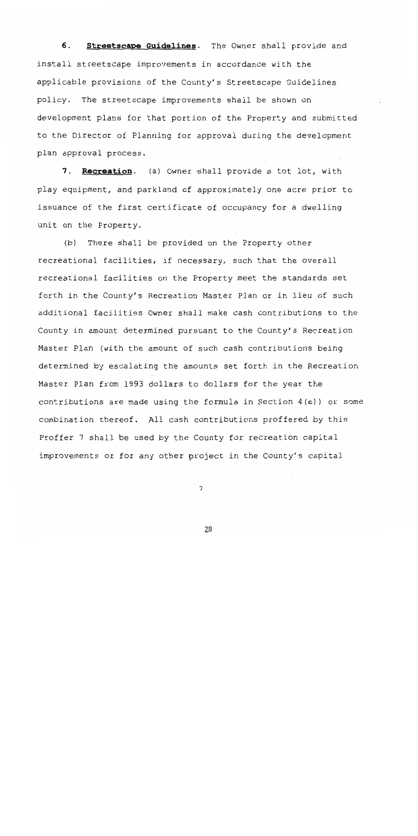б. Streetscape Guidelines. The Owner shall provide and install streetscape improvements in accordance with the applicable provisions of the County's Streetscape Guidelines policy. The streetscape improvements shall be shown on development plans for that portion of the Property and submitted to the Director of Planning for approval during the development plan approval process.

Recreation. (a) Owner shall provide a tot lot, with  $7.$ play equipment, and parkland of approximately one acre prior to issuance of the first certificate of occupancy for a dwelling unit on the Property.

There shall be provided on the Property other  $(b)$ recreational facilities, if necessary, such that the overall recreational facilities on the Property meet the standards set forth in the County's Recreation Master Plan or in lieu of such additional facilities Owner shall make cash contributions to the County in amount determined pursuant to the County's Recreation Master Plan (with the amount of such cash contributions being determined by escalating the amounts set forth in the Recreation Master Plan from 1993 dollars to dollars for the year the contributions are made using the formula in Section 4(e)) or some combination thereof. All cash contributions proffered by this Proffer 7 shall be used by the County for recreation capital improvements or for any other project in the County's capital

7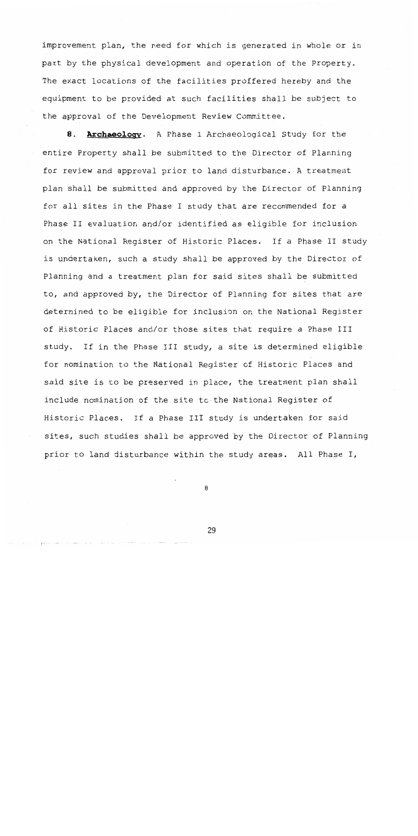improvement plan, the need for which is generated in whole or in part by the physical development and operation of the Property. The exact locations of the facilities proffered hereby and the equipment to be provided at such facilities shall be subject to the approval of the Development Review Committee.

Archaeology. A Phase I Archaeological Study for the 8. entire Property shall be submitted to the Director of Planning for review and approval prior to land disturbance. A treatment plan shall be submitted and approved by the Director of Planning for all sites in the Phase I study that are recommended for a Phase II evaluation and/or identified as eligible for inclusion on the National Register of Historic Places. If a Phase II study is undertaken, such a study shall be approved by the Director of Planning and a treatment plan for said sites shall be submitted to, and approved by, the Director of Planning for sites that are determined to be eligible for inclusion on the National Register of Historic Places and/or those sites that require a Phase III study. If in the Phase III study, a site is determined eligible for nomination to the National Register of Historic Places and said site is to be preserved in place, the treatment plan shall include nomination of the site to the National Register of Historic Places. If a Phase III study is undertaken for said sites, such studies shall be approved by the Director of Planning prior to land disturbance within the study areas. All Phase I,

8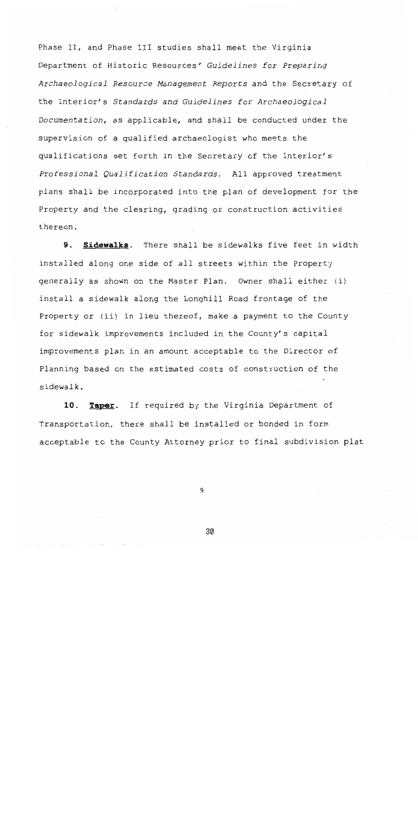Phase II, and Phase III studies shall meet the Virginia Department of Historic Resources' Guidelines for Preparing Archaeological Resource Management Reports and the Secretary of the Interior's Standards and Guidelines for Archaeological Documentation, as applicable, and shall be conducted under the supervision of a qualified archaeologist who meets the qualifications set forth in the Secretary of the Interior's Professional Qualification Standards. All approved treatment plans shall be incorporated into the plan of development for the Property and the clearing, grading or construction activities thereon.

9. Sidewalks. There shall be sidewalks five feet in width installed along one side of all streets within the Property generally as shown on the Master Plan. Owner shall either (i) install a sidewalk along the Longhill Road frontage of the Property or (ii) in lieu thereof, make a payment to the County for sidewalk improvements included in the County's capital improvements plan in an amount acceptable to the Director of Planning based on the estimated costs of construction of the sidewalk.

 $10.$ Taper. If required by the Virginia Department of Transportation, there shall be installed or bonded in form acceptable to the County Attorney prior to final subdivision plat

9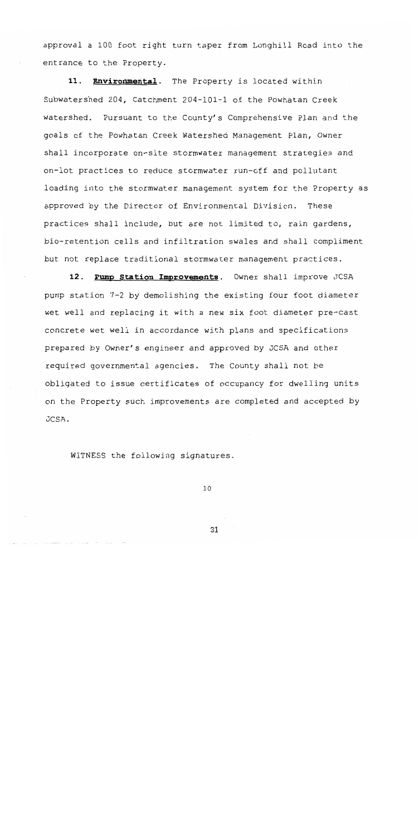approval a 100 foot right turn taper from Longhill Road into the entrance to the Property.

11. Environmental. The Property is located within Subwatershed 204, Catchment 204-101-1 of the Powhatan Creek watershed. Pursuant to the County's Comprehensive Plan and the goals of the Powhatan Creek Watershed Management Plan, Owner shall incorporate on-site stormwater management strategies and on-lot practices to reduce stormwater run-off and pollutant loading into the stormwater management system for the Property as approved by the Director of Environmental Division. These practices shall include, but are not limited to, rain gardens, bio-retention cells and infiltration swales and shall compliment but not replace traditional stormwater management practices.

12. Pump Station Improvements. Owner shall improve JCSA pump station 7-2 by demolishing the existing four foot diameter wet well and replacing it with a new six foot diameter pre-cast concrete wet well in accordance with plans and specifications prepared by Owner's engineer and approved by JCSA and other required governmental agencies. The County shall not be obligated to issue certificates of occupancy for dwelling units on the Property such improvements are completed and accepted by JCSA.

WITNESS the following signatures.

 $10$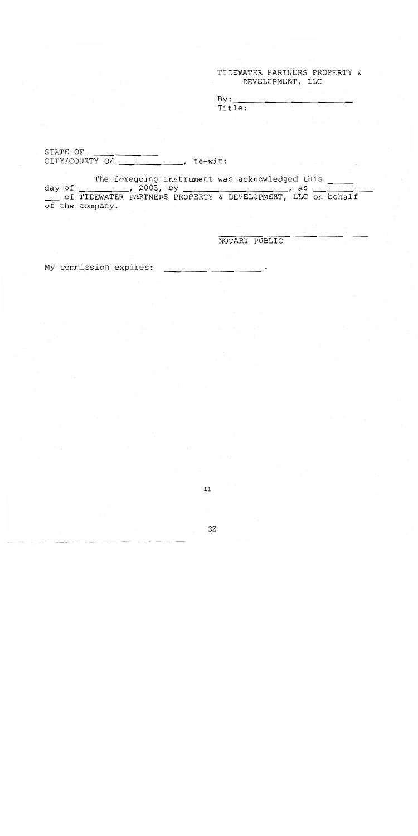## TIDEWATER PARTNERS PROPERTY & DEVELOPMENT, LLC

 $By:$ Title:

STATE OF 

The foregoing instrument was acknowledged this of the company.

NOTARY PUBLIC

My commission expires: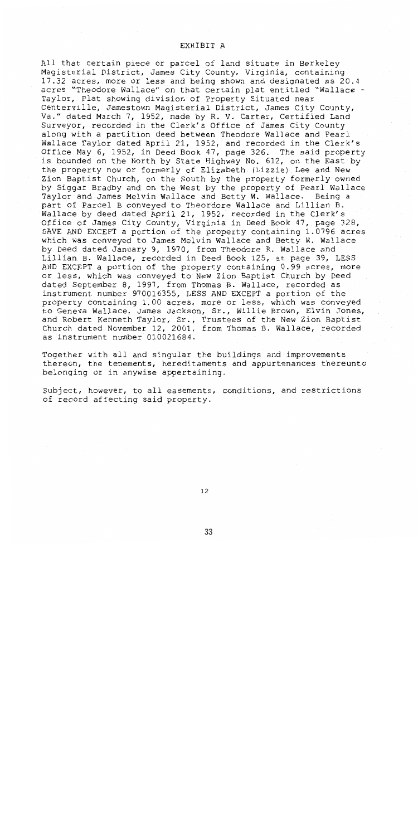All that certain piece or parcel of land situate in Berkeley Magisterial District, James City County, Virginia, containing 17.32 acres, more or less and being shown and designated as 20.4 acres "Theodore Wallace" on that certain plat entitled "Wallace -Taylor, Plat showing division of Property Situated near Centerville, Jamestown Magisterial District, James City County, Va." dated March 7, 1952, made by R. V. Carter, Certified Land Surveyor, recorded in the Clerk's Office of James City County along with a partition deed between Theodore Wallace and Pearl Wallace Taylor dated April 21, 1952, and recorded in the Clerk's Office May 6, 1952, in Deed Book 47, page 326. The said property is bounded on the North by State Highway No. 612, on the East by the property now or formerly of Elizabeth (Lizzie) Lee and New Zion Baptist Church, on the South by the property formerly owned by Siggar Bradby and on the West by the property of Pearl Wallace Taylor and James Melvin Wallace and Betty W. Wallace. Being a part of Parcel B conveyed to Theordore Wallace and Lillian B. Wallace by deed dated April 21, 1952, recorded in the Clerk's Office of James City County, Virginia in Deed Book 47, page 328, SAVE AND EXCEPT a portion of the property containing 1.0796 acres which was conveyed to James Melvin Wallace and Betty W. Wallace by Deed dated January 9, 1970, from Theodore R. Wallace and Lillian B. Wallace, recorded in Deed Book 125, at page 39, LESS AND EXCEPT a portion of the property containing 0.99 acres, more or less, which was conveyed to New Zion Baptist Church by Deed dated September 8, 1997, from Thomas B. Wallace, recorded as instrument number 970016355, LESS AND EXCEPT a portion of the property containing 1.00 acres, more or less, which was conveyed to Geneva Wallace, James Jackson, Sr., Willie Brown, Elvin Jones, and Robert Kenneth Taylor, Sr., Trustees of the New Zion Baptist Church dated November 12, 2001, from Thomas B. Wallace, recorded as instrument number 010021684.

Together with all and singular the buildings and improvements thereon, the tenements, hereditaments and appurtenances thereunto belonging or in anywise appertaining.

Subject, however, to all easements, conditions, and restrictions of record affecting said property.

 $12$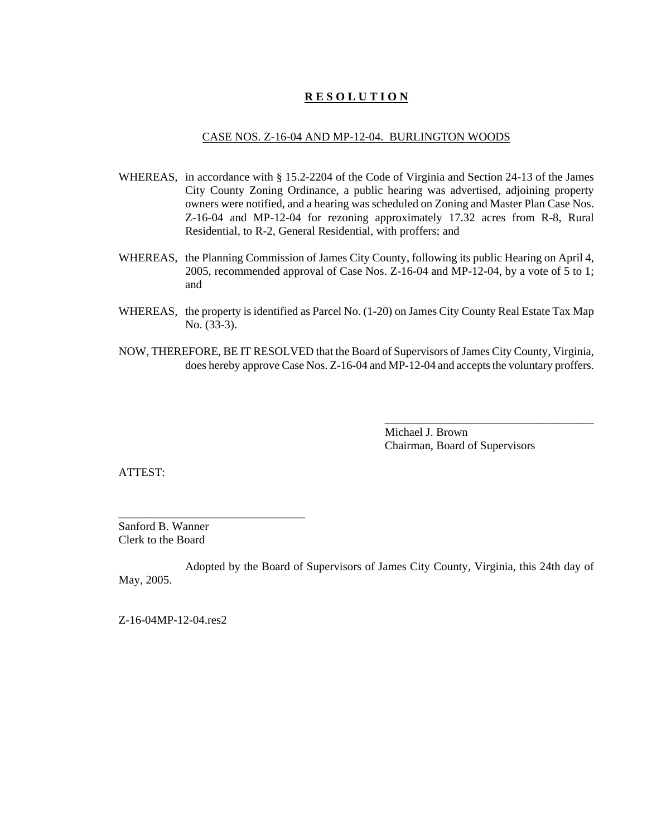### CASE NOS. Z-16-04 AND MP-12-04. BURLINGTON WOODS

- WHEREAS, in accordance with § 15.2-2204 of the Code of Virginia and Section 24-13 of the James City County Zoning Ordinance, a public hearing was advertised, adjoining property owners were notified, and a hearing was scheduled on Zoning and Master Plan Case Nos. Z-16-04 and MP-12-04 for rezoning approximately 17.32 acres from R-8, Rural Residential, to R-2, General Residential, with proffers; and
- WHEREAS, the Planning Commission of James City County, following its public Hearing on April 4, 2005, recommended approval of Case Nos. Z-16-04 and MP-12-04, by a vote of 5 to 1; and
- WHEREAS, the property is identified as Parcel No. (1-20) on James City County Real Estate Tax Map No. (33-3).
- NOW, THEREFORE, BE IT RESOLVED that the Board of Supervisors of James City County, Virginia, does hereby approve Case Nos. Z-16-04 and MP-12-04 and accepts the voluntary proffers.

Michael J. Brown Chairman, Board of Supervisors

\_\_\_\_\_\_\_\_\_\_\_\_\_\_\_\_\_\_\_\_\_\_\_\_\_\_\_\_\_\_\_\_\_\_\_\_

ATTEST:

Sanford B. Wanner Clerk to the Board

\_\_\_\_\_\_\_\_\_\_\_\_\_\_\_\_\_\_\_\_\_\_\_\_\_\_\_\_\_\_\_\_

Adopted by the Board of Supervisors of James City County, Virginia, this 24th day of May, 2005.

Z-16-04MP-12-04.res2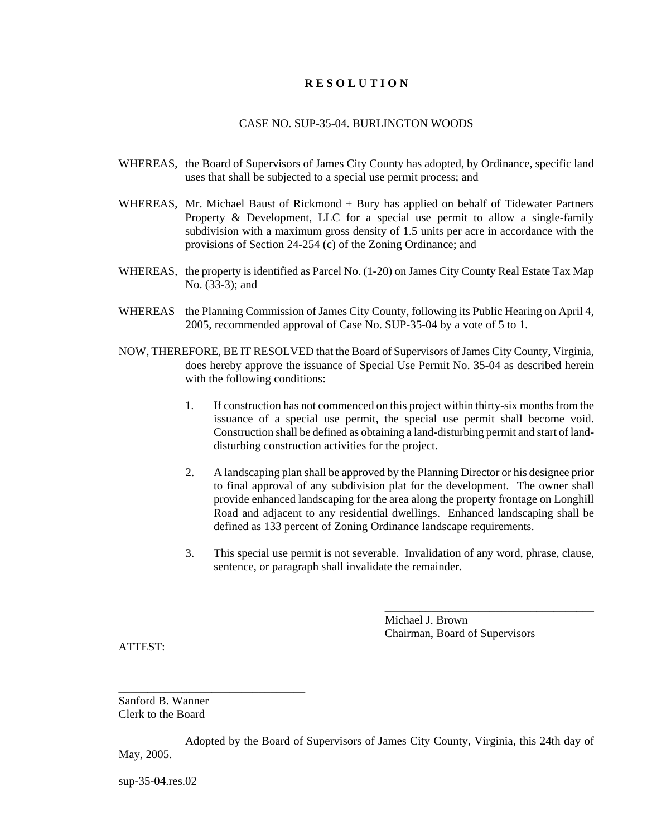### CASE NO. SUP-35-04. BURLINGTON WOODS

- WHEREAS, the Board of Supervisors of James City County has adopted, by Ordinance, specific land uses that shall be subjected to a special use permit process; and
- WHEREAS, Mr. Michael Baust of Rickmond + Bury has applied on behalf of Tidewater Partners Property & Development, LLC for a special use permit to allow a single-family subdivision with a maximum gross density of 1.5 units per acre in accordance with the provisions of Section 24-254 (c) of the Zoning Ordinance; and
- WHEREAS, the property is identified as Parcel No. (1-20) on James City County Real Estate Tax Map No. (33-3); and
- WHEREAS the Planning Commission of James City County, following its Public Hearing on April 4, 2005, recommended approval of Case No. SUP-35-04 by a vote of 5 to 1.
- NOW, THEREFORE, BE IT RESOLVED that the Board of Supervisors of James City County, Virginia, does hereby approve the issuance of Special Use Permit No. 35-04 as described herein with the following conditions:
	- 1. If construction has not commenced on this project within thirty-six months from the issuance of a special use permit, the special use permit shall become void. Construction shall be defined as obtaining a land-disturbing permit and start of landdisturbing construction activities for the project.
	- 2. A landscaping plan shall be approved by the Planning Director or his designee prior to final approval of any subdivision plat for the development. The owner shall provide enhanced landscaping for the area along the property frontage on Longhill Road and adjacent to any residential dwellings. Enhanced landscaping shall be defined as 133 percent of Zoning Ordinance landscape requirements.
	- 3. This special use permit is not severable. Invalidation of any word, phrase, clause, sentence, or paragraph shall invalidate the remainder.

Michael J. Brown Chairman, Board of Supervisors

\_\_\_\_\_\_\_\_\_\_\_\_\_\_\_\_\_\_\_\_\_\_\_\_\_\_\_\_\_\_\_\_\_\_\_\_

ATTEST:

Sanford B. Wanner Clerk to the Board

\_\_\_\_\_\_\_\_\_\_\_\_\_\_\_\_\_\_\_\_\_\_\_\_\_\_\_\_\_\_\_\_

Adopted by the Board of Supervisors of James City County, Virginia, this 24th day of May, 2005.

sup-35-04.res.02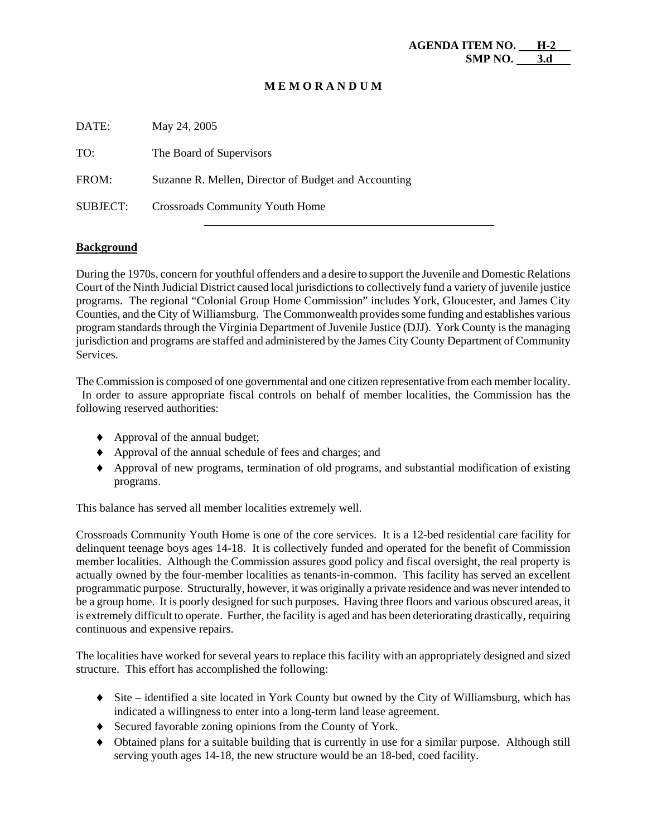| DATE:           | May 24, 2005                                         |
|-----------------|------------------------------------------------------|
| TO:             | The Board of Supervisors                             |
| FROM:           | Suzanne R. Mellen, Director of Budget and Accounting |
| <b>SUBJECT:</b> | <b>Crossroads Community Youth Home</b>               |

## **Background**

During the 1970s, concern for youthful offenders and a desire to support the Juvenile and Domestic Relations Court of the Ninth Judicial District caused local jurisdictions to collectively fund a variety of juvenile justice programs. The regional "Colonial Group Home Commission" includes York, Gloucester, and James City Counties, and the City of Williamsburg. The Commonwealth provides some funding and establishes various program standards through the Virginia Department of Juvenile Justice (DJJ). York County is the managing jurisdiction and programs are staffed and administered by the James City County Department of Community Services.

The Commission is composed of one governmental and one citizen representative from each member locality. In order to assure appropriate fiscal controls on behalf of member localities, the Commission has the following reserved authorities:

- ♦ Approval of the annual budget;
- ♦ Approval of the annual schedule of fees and charges; and
- ♦ Approval of new programs, termination of old programs, and substantial modification of existing programs.

This balance has served all member localities extremely well.

Crossroads Community Youth Home is one of the core services. It is a 12-bed residential care facility for delinquent teenage boys ages 14-18. It is collectively funded and operated for the benefit of Commission member localities. Although the Commission assures good policy and fiscal oversight, the real property is actually owned by the four-member localities as tenants-in-common. This facility has served an excellent programmatic purpose. Structurally, however, it was originally a private residence and was never intended to be a group home. It is poorly designed for such purposes. Having three floors and various obscured areas, it is extremely difficult to operate. Further, the facility is aged and has been deteriorating drastically, requiring continuous and expensive repairs.

The localities have worked for several years to replace this facility with an appropriately designed and sized structure. This effort has accomplished the following:

- ♦ Site identified a site located in York County but owned by the City of Williamsburg, which has indicated a willingness to enter into a long-term land lease agreement.
- ♦ Secured favorable zoning opinions from the County of York.
- ♦ Obtained plans for a suitable building that is currently in use for a similar purpose. Although still serving youth ages 14-18, the new structure would be an 18-bed, coed facility.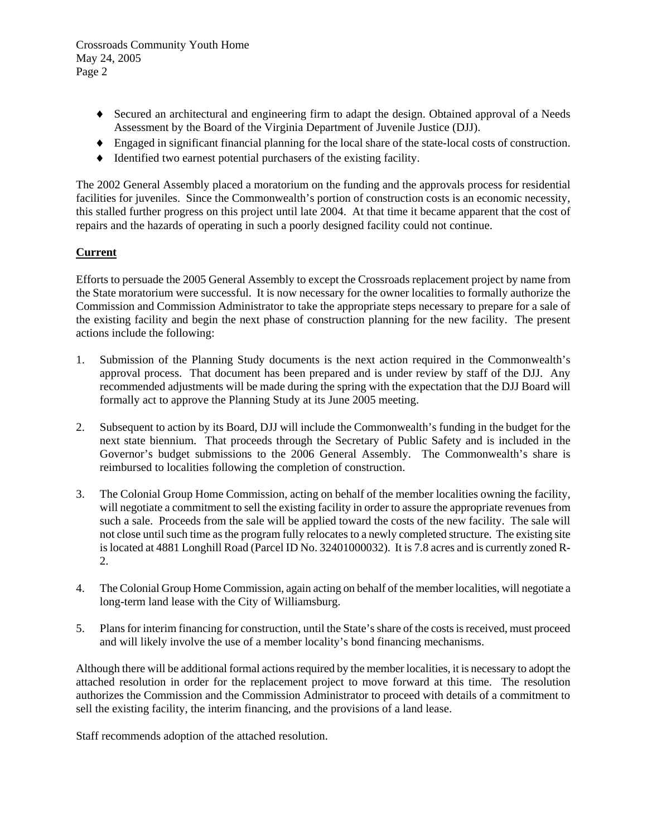Crossroads Community Youth Home May 24, 2005 Page 2

- ♦ Secured an architectural and engineering firm to adapt the design. Obtained approval of a Needs Assessment by the Board of the Virginia Department of Juvenile Justice (DJJ).
- ♦ Engaged in significant financial planning for the local share of the state-local costs of construction.
- ♦ Identified two earnest potential purchasers of the existing facility.

The 2002 General Assembly placed a moratorium on the funding and the approvals process for residential facilities for juveniles. Since the Commonwealth's portion of construction costs is an economic necessity, this stalled further progress on this project until late 2004. At that time it became apparent that the cost of repairs and the hazards of operating in such a poorly designed facility could not continue.

## **Current**

Efforts to persuade the 2005 General Assembly to except the Crossroads replacement project by name from the State moratorium were successful. It is now necessary for the owner localities to formally authorize the Commission and Commission Administrator to take the appropriate steps necessary to prepare for a sale of the existing facility and begin the next phase of construction planning for the new facility. The present actions include the following:

- 1. Submission of the Planning Study documents is the next action required in the Commonwealth's approval process. That document has been prepared and is under review by staff of the DJJ. Any recommended adjustments will be made during the spring with the expectation that the DJJ Board will formally act to approve the Planning Study at its June 2005 meeting.
- 2. Subsequent to action by its Board, DJJ will include the Commonwealth's funding in the budget for the next state biennium. That proceeds through the Secretary of Public Safety and is included in the Governor's budget submissions to the 2006 General Assembly. The Commonwealth's share is reimbursed to localities following the completion of construction.
- 3. The Colonial Group Home Commission, acting on behalf of the member localities owning the facility, will negotiate a commitment to sell the existing facility in order to assure the appropriate revenues from such a sale. Proceeds from the sale will be applied toward the costs of the new facility. The sale will not close until such time as the program fully relocates to a newly completed structure. The existing site is located at 4881 Longhill Road (Parcel ID No. 32401000032). It is 7.8 acres and is currently zoned R-2.
- 4. The Colonial Group Home Commission, again acting on behalf of the member localities, will negotiate a long-term land lease with the City of Williamsburg.
- 5. Plans for interim financing for construction, until the State's share of the costs is received, must proceed and will likely involve the use of a member locality's bond financing mechanisms.

Although there will be additional formal actions required by the member localities, it is necessary to adopt the attached resolution in order for the replacement project to move forward at this time. The resolution authorizes the Commission and the Commission Administrator to proceed with details of a commitment to sell the existing facility, the interim financing, and the provisions of a land lease.

Staff recommends adoption of the attached resolution.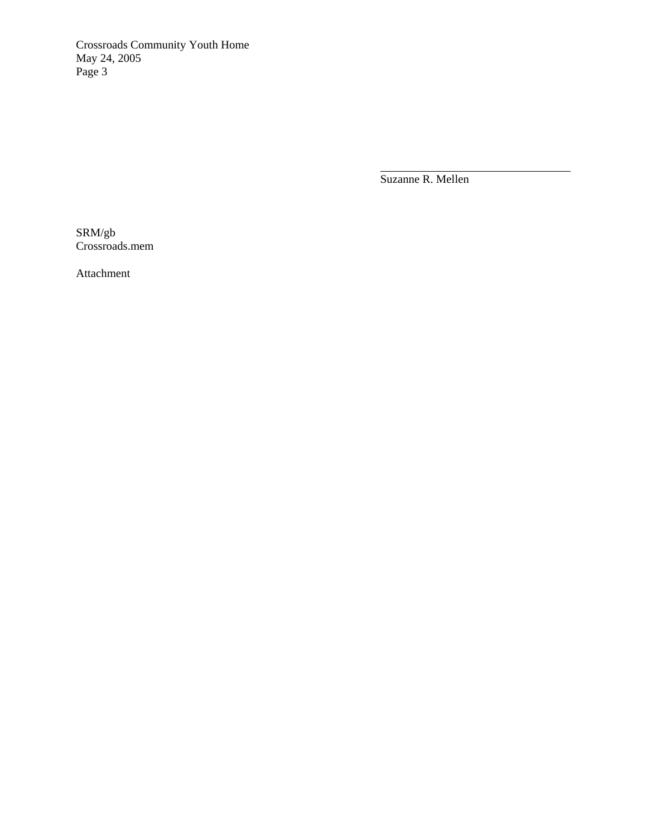Crossroads Community Youth Home May 24, 2005 Page 3

Suzanne R. Mellen

 $\overline{a}$ 

SRM/gb Crossroads.mem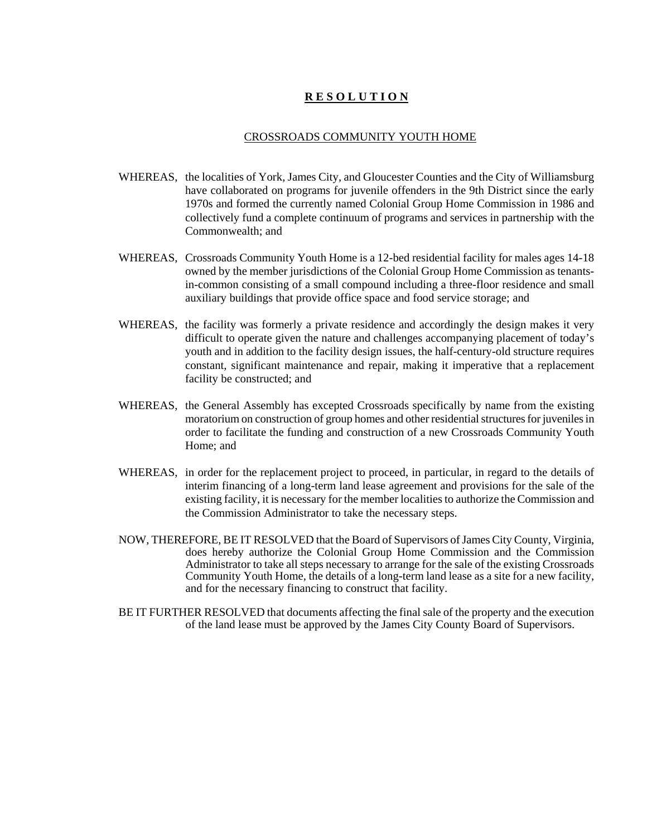### CROSSROADS COMMUNITY YOUTH HOME

- WHEREAS, the localities of York, James City, and Gloucester Counties and the City of Williamsburg have collaborated on programs for juvenile offenders in the 9th District since the early 1970s and formed the currently named Colonial Group Home Commission in 1986 and collectively fund a complete continuum of programs and services in partnership with the Commonwealth; and
- WHEREAS, Crossroads Community Youth Home is a 12-bed residential facility for males ages 14-18 owned by the member jurisdictions of the Colonial Group Home Commission as tenantsin-common consisting of a small compound including a three-floor residence and small auxiliary buildings that provide office space and food service storage; and
- WHEREAS, the facility was formerly a private residence and accordingly the design makes it very difficult to operate given the nature and challenges accompanying placement of today's youth and in addition to the facility design issues, the half-century-old structure requires constant, significant maintenance and repair, making it imperative that a replacement facility be constructed; and
- WHEREAS, the General Assembly has excepted Crossroads specifically by name from the existing moratorium on construction of group homes and other residential structures for juveniles in order to facilitate the funding and construction of a new Crossroads Community Youth Home; and
- WHEREAS, in order for the replacement project to proceed, in particular, in regard to the details of interim financing of a long-term land lease agreement and provisions for the sale of the existing facility, it is necessary for the member localities to authorize the Commission and the Commission Administrator to take the necessary steps.
- NOW, THEREFORE, BE IT RESOLVED that the Board of Supervisors of James City County, Virginia, does hereby authorize the Colonial Group Home Commission and the Commission Administrator to take all steps necessary to arrange for the sale of the existing Crossroads Community Youth Home, the details of a long-term land lease as a site for a new facility, and for the necessary financing to construct that facility.
- BE IT FURTHER RESOLVED that documents affecting the final sale of the property and the execution of the land lease must be approved by the James City County Board of Supervisors.